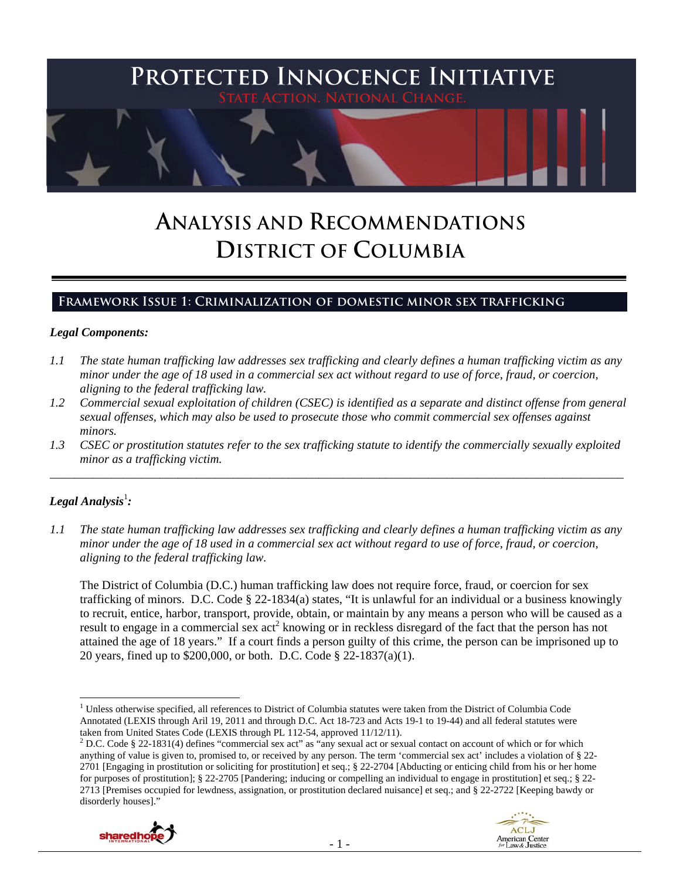

# **ANALYSIS AND RECOMMENDATIONS DISTRICT OF COLUMBIA**

## **Framework Issue 1: Criminalization of domestic minor sex trafficking**

#### *Legal Components:*

- *1.1 The state human trafficking law addresses sex trafficking and clearly defines a human trafficking victim as any minor under the age of 18 used in a commercial sex act without regard to use of force, fraud, or coercion, aligning to the federal trafficking law.*
- *1.2 Commercial sexual exploitation of children (CSEC) is identified as a separate and distinct offense from general sexual offenses, which may also be used to prosecute those who commit commercial sex offenses against minors.*
- *1.3 CSEC or prostitution statutes refer to the sex trafficking statute to identify the commercially sexually exploited minor as a trafficking victim.*  \_\_\_\_\_\_\_\_\_\_\_\_\_\_\_\_\_\_\_\_\_\_\_\_\_\_\_\_\_\_\_\_\_\_\_\_\_\_\_\_\_\_\_\_\_\_\_\_\_\_\_\_\_\_\_\_\_\_\_\_\_\_\_\_\_\_\_\_\_\_\_\_\_\_\_\_\_\_\_\_\_\_\_\_\_\_\_\_\_\_\_\_\_\_

## ${\it Legal Analysis^!}$  :

*1.1 The state human trafficking law addresses sex trafficking and clearly defines a human trafficking victim as any minor under the age of 18 used in a commercial sex act without regard to use of force, fraud, or coercion, aligning to the federal trafficking law.*

The District of Columbia (D.C.) human trafficking law does not require force, fraud, or coercion for sex trafficking of minors. D.C. Code § 22-1834(a) states, "It is unlawful for an individual or a business knowingly to recruit, entice, harbor, transport, provide, obtain, or maintain by any means a person who will be caused as a result to engage in a commercial sex act<sup>2</sup> knowing or in reckless disregard of the fact that the person has not attained the age of 18 years." If a court finds a person guilty of this crime, the person can be imprisoned up to 20 years, fined up to \$200,000, or both. D.C. Code § 22-1837(a)(1).

<sup>&</sup>lt;sup>2</sup> D.C. Code § 22-1831(4) defines "commercial sex act" as "any sexual act or sexual contact on account of which or for which anything of value is given to, promised to, or received by any person. The term 'commercial sex act' includes a violation of § 22- 2701 [Engaging in prostitution or soliciting for prostitution] et seq.; § 22-2704 [Abducting or enticing child from his or her home for purposes of prostitution]; § 22-2705 [Pandering; inducing or compelling an individual to engage in prostitution] et seq.; § 22- 2713 [Premises occupied for lewdness, assignation, or prostitution declared nuisance] et seq.; and § 22-2722 [Keeping bawdy or disorderly houses]."





  $1$  Unless otherwise specified, all references to District of Columbia statutes were taken from the District of Columbia Code Annotated (LEXIS through Aril 19, 2011 and through D.C. Act 18-723 and Acts 19-1 to 19-44) and all federal statutes were taken from United States Code (LEXIS through PL 112-54, approved 11/12/11).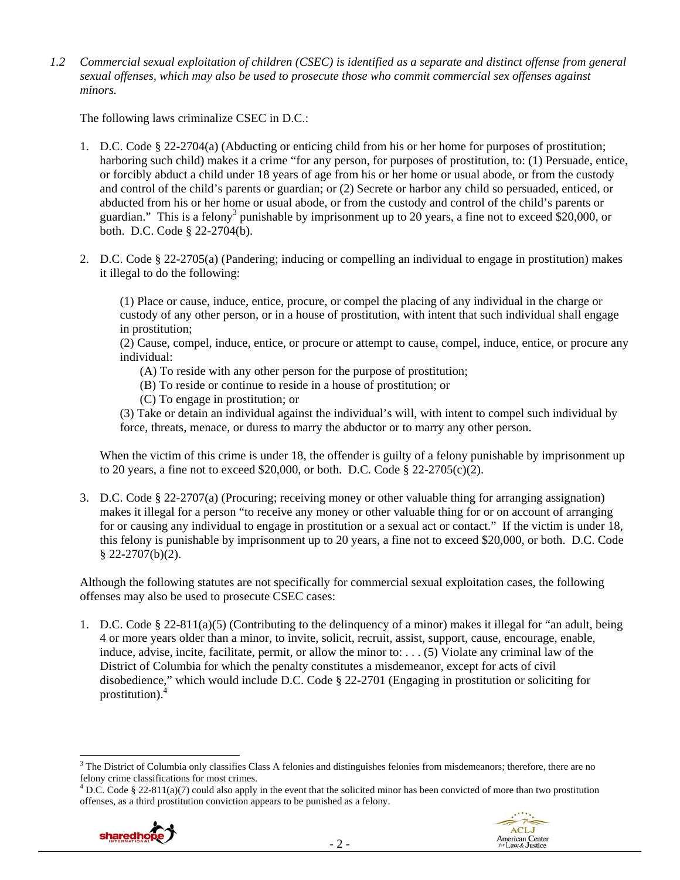*1.2 Commercial sexual exploitation of children (CSEC) is identified as a separate and distinct offense from general sexual offenses, which may also be used to prosecute those who commit commercial sex offenses against minors.*

The following laws criminalize CSEC in D.C.:

- 1. D.C. Code § 22-2704(a) (Abducting or enticing child from his or her home for purposes of prostitution; harboring such child) makes it a crime "for any person, for purposes of prostitution, to: (1) Persuade, entice, or forcibly abduct a child under 18 years of age from his or her home or usual abode, or from the custody and control of the child's parents or guardian; or (2) Secrete or harbor any child so persuaded, enticed, or abducted from his or her home or usual abode, or from the custody and control of the child's parents or guardian." This is a felony<sup>3</sup> punishable by imprisonment up to 20 years, a fine not to exceed \$20,000, or both. D.C. Code § 22-2704(b).
- 2. D.C. Code § 22-2705(a) (Pandering; inducing or compelling an individual to engage in prostitution) makes it illegal to do the following:

(1) Place or cause, induce, entice, procure, or compel the placing of any individual in the charge or custody of any other person, or in a house of prostitution, with intent that such individual shall engage in prostitution;

(2) Cause, compel, induce, entice, or procure or attempt to cause, compel, induce, entice, or procure any individual:

- (A) To reside with any other person for the purpose of prostitution;
- (B) To reside or continue to reside in a house of prostitution; or
- (C) To engage in prostitution; or

(3) Take or detain an individual against the individual's will, with intent to compel such individual by force, threats, menace, or duress to marry the abductor or to marry any other person.

When the victim of this crime is under 18, the offender is guilty of a felony punishable by imprisonment up to 20 years, a fine not to exceed \$20,000, or both. D.C. Code § 22-2705(c)(2).

3. D.C. Code § 22-2707(a) (Procuring; receiving money or other valuable thing for arranging assignation) makes it illegal for a person "to receive any money or other valuable thing for or on account of arranging for or causing any individual to engage in prostitution or a sexual act or contact." If the victim is under 18, this felony is punishable by imprisonment up to 20 years, a fine not to exceed \$20,000, or both. D.C. Code  $§$  22-2707(b)(2).

Although the following statutes are not specifically for commercial sexual exploitation cases, the following offenses may also be used to prosecute CSEC cases:

1. D.C. Code § 22-811(a)(5) (Contributing to the delinquency of a minor) makes it illegal for "an adult, being 4 or more years older than a minor, to invite, solicit, recruit, assist, support, cause, encourage, enable, induce, advise, incite, facilitate, permit, or allow the minor to: . . . (5) Violate any criminal law of the District of Columbia for which the penalty constitutes a misdemeanor, except for acts of civil disobedience," which would include D.C. Code § 22-2701 (Engaging in prostitution or soliciting for prostitution).<sup>4</sup>

<sup>&</sup>lt;sup>4</sup> D.C. Code § 22-811(a)(7) could also apply in the event that the solicited minor has been convicted of more than two prostitution offenses, as a third prostitution conviction appears to be punished as a felony.





  $3$  The District of Columbia only classifies Class A felonies and distinguishes felonies from misdemeanors; therefore, there are no felony crime classifications for most crimes.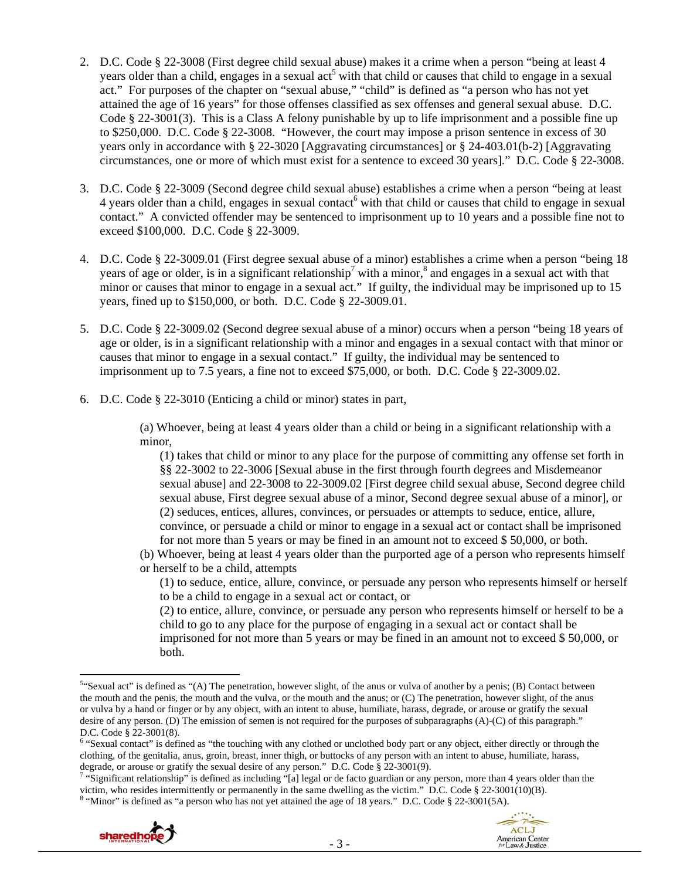- 2. D.C. Code § 22-3008 (First degree child sexual abuse) makes it a crime when a person "being at least 4 years older than a child, engages in a sexual act<sup>5</sup> with that child or causes that child to engage in a sexual act." For purposes of the chapter on "sexual abuse," "child" is defined as "a person who has not yet attained the age of 16 years" for those offenses classified as sex offenses and general sexual abuse. D.C. Code  $\S 22-3001(3)$ . This is a Class A felony punishable by up to life imprisonment and a possible fine up to \$250,000. D.C. Code § 22-3008. "However, the court may impose a prison sentence in excess of 30 years only in accordance with § 22-3020 [Aggravating circumstances] or § 24-403.01(b-2) [Aggravating circumstances, one or more of which must exist for a sentence to exceed 30 years]." D.C. Code § 22-3008.
- 3. D.C. Code § 22-3009 (Second degree child sexual abuse) establishes a crime when a person "being at least  $4$  years older than a child, engages in sexual contact<sup>6</sup> with that child or causes that child to engage in sexual contact." A convicted offender may be sentenced to imprisonment up to 10 years and a possible fine not to exceed \$100,000. D.C. Code § 22-3009.
- 4. D.C. Code § 22-3009.01 (First degree sexual abuse of a minor) establishes a crime when a person "being 18 years of age or older, is in a significant relationship<sup>7</sup> with a minor,<sup>8</sup> and engages in a sexual act with that minor or causes that minor to engage in a sexual act." If guilty, the individual may be imprisoned up to 15 years, fined up to \$150,000, or both. D.C. Code § 22-3009.01.
- 5. D.C. Code § 22-3009.02 (Second degree sexual abuse of a minor) occurs when a person "being 18 years of age or older, is in a significant relationship with a minor and engages in a sexual contact with that minor or causes that minor to engage in a sexual contact." If guilty, the individual may be sentenced to imprisonment up to 7.5 years, a fine not to exceed \$75,000, or both. D.C. Code § 22-3009.02.
- 6. D.C. Code § 22-3010 (Enticing a child or minor) states in part,

(a) Whoever, being at least 4 years older than a child or being in a significant relationship with a minor,

(1) takes that child or minor to any place for the purpose of committing any offense set forth in §§ 22-3002 to 22-3006 [Sexual abuse in the first through fourth degrees and Misdemeanor sexual abuse] and 22-3008 to 22-3009.02 [First degree child sexual abuse, Second degree child sexual abuse, First degree sexual abuse of a minor, Second degree sexual abuse of a minor], or (2) seduces, entices, allures, convinces, or persuades or attempts to seduce, entice, allure, convince, or persuade a child or minor to engage in a sexual act or contact shall be imprisoned for not more than 5 years or may be fined in an amount not to exceed \$ 50,000, or both.

(b) Whoever, being at least 4 years older than the purported age of a person who represents himself or herself to be a child, attempts

(1) to seduce, entice, allure, convince, or persuade any person who represents himself or herself to be a child to engage in a sexual act or contact, or

(2) to entice, allure, convince, or persuade any person who represents himself or herself to be a child to go to any place for the purpose of engaging in a sexual act or contact shall be imprisoned for not more than 5 years or may be fined in an amount not to exceed \$ 50,000, or both.

<sup>&</sup>quot;Significant relationship" is defined as including "[a] legal or de facto guardian or any person, more than 4 years older than the victim, who resides intermittently or permanently in the same dwelling as the victim." D.C. Code § 22-3001(10)(B). <sup>8</sup> "Minor" is defined as "a person who has not yet attained the age of 18 years." D.C. Code § 22-3001(5A).



 <sup>5.4</sup>Sexual act" is defined as "(A) The penetration, however slight, of the anus or vulva of another by a penis; (B) Contact between the mouth and the penis, the mouth and the vulva, or the mouth and the anus; or (C) The penetration, however slight, of the anus or vulva by a hand or finger or by any object, with an intent to abuse, humiliate, harass, degrade, or arouse or gratify the sexual desire of any person. (D) The emission of semen is not required for the purposes of subparagraphs (A)-(C) of this paragraph." D.C. Code § 22-3001(8).

<sup>&</sup>lt;sup>6</sup> "Sexual contact" is defined as "the touching with any clothed or unclothed body part or any object, either directly or through the clothing, of the genitalia, anus, groin, breast, inner thigh, or buttocks of any person with an intent to abuse, humiliate, harass, degrade, or arouse or gratify the sexual desire of any person." D.C. Code § 22-3001(9).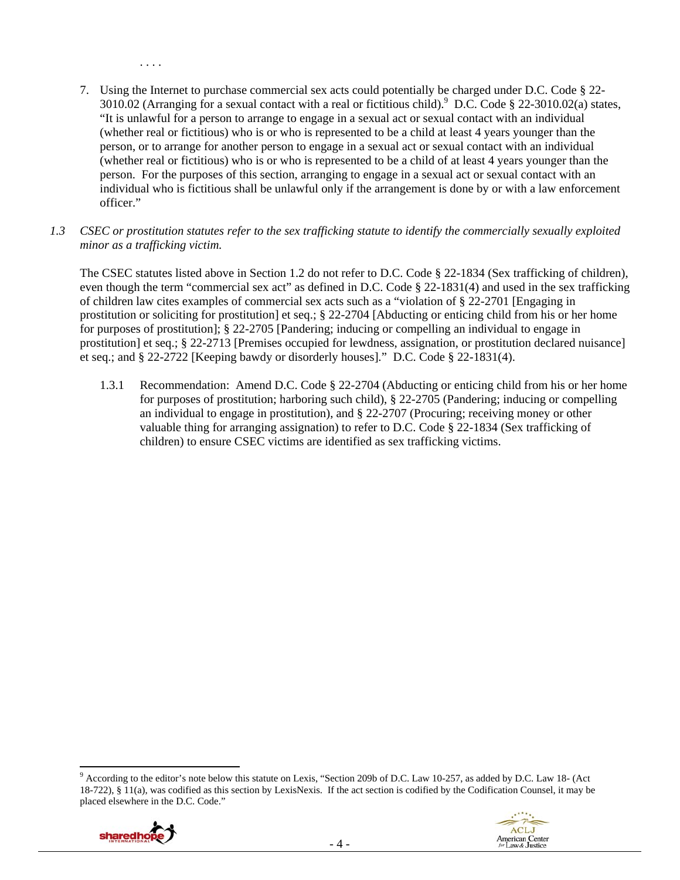- 7. Using the Internet to purchase commercial sex acts could potentially be charged under D.C. Code § 22- 3010.02 (Arranging for a sexual contact with a real or fictitious child).  $^9$  D.C. Code § 22-3010.02(a) states, "It is unlawful for a person to arrange to engage in a sexual act or sexual contact with an individual (whether real or fictitious) who is or who is represented to be a child at least 4 years younger than the person, or to arrange for another person to engage in a sexual act or sexual contact with an individual (whether real or fictitious) who is or who is represented to be a child of at least 4 years younger than the person. For the purposes of this section, arranging to engage in a sexual act or sexual contact with an individual who is fictitious shall be unlawful only if the arrangement is done by or with a law enforcement officer."
- *1.3 CSEC or prostitution statutes refer to the sex trafficking statute to identify the commercially sexually exploited minor as a trafficking victim.*

The CSEC statutes listed above in Section 1.2 do not refer to D.C. Code § 22-1834 (Sex trafficking of children), even though the term "commercial sex act" as defined in D.C. Code § 22-1831(4) and used in the sex trafficking of children law cites examples of commercial sex acts such as a "violation of § 22-2701 [Engaging in prostitution or soliciting for prostitution] et seq.; § 22-2704 [Abducting or enticing child from his or her home for purposes of prostitution]; § 22-2705 [Pandering; inducing or compelling an individual to engage in prostitution] et seq.; § 22-2713 [Premises occupied for lewdness, assignation, or prostitution declared nuisance] et seq.; and § 22-2722 [Keeping bawdy or disorderly houses]." D.C. Code § 22-1831(4).

1.3.1 Recommendation: Amend D.C. Code § 22-2704 (Abducting or enticing child from his or her home for purposes of prostitution; harboring such child), § 22-2705 (Pandering; inducing or compelling an individual to engage in prostitution), and § 22-2707 (Procuring; receiving money or other valuable thing for arranging assignation) to refer to D.C. Code § 22-1834 (Sex trafficking of children) to ensure CSEC victims are identified as sex trafficking victims.

 <sup>9</sup> According to the editor's note below this statute on Lexis, "Section 209b of D.C. Law 10-257, as added by D.C. Law 18- (Act 18-722), § 11(a), was codified as this section by LexisNexis. If the act section is codified by the Codification Counsel, it may be placed elsewhere in the D.C. Code."



. . . .

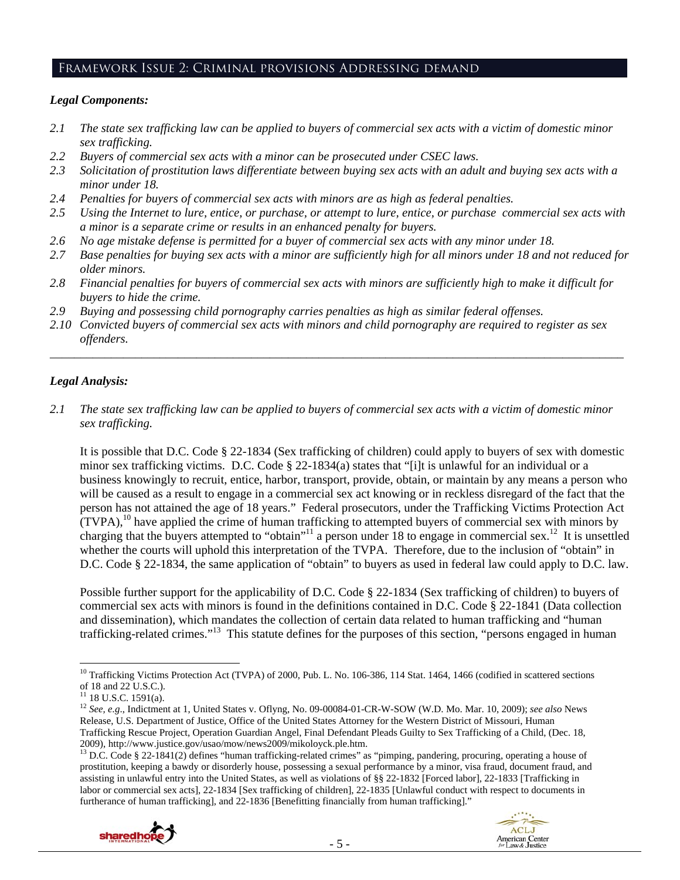#### Framework Issue 2: Criminal provisions Addressing demand

#### *Legal Components:*

- *2.1 The state sex trafficking law can be applied to buyers of commercial sex acts with a victim of domestic minor sex trafficking.*
- *2.2 Buyers of commercial sex acts with a minor can be prosecuted under CSEC laws.*
- *2.3 Solicitation of prostitution laws differentiate between buying sex acts with an adult and buying sex acts with a minor under 18.*
- *2.4 Penalties for buyers of commercial sex acts with minors are as high as federal penalties.*
- *2.5 Using the Internet to lure, entice, or purchase, or attempt to lure, entice, or purchase commercial sex acts with a minor is a separate crime or results in an enhanced penalty for buyers.*
- *2.6 No age mistake defense is permitted for a buyer of commercial sex acts with any minor under 18.*
- *2.7 Base penalties for buying sex acts with a minor are sufficiently high for all minors under 18 and not reduced for older minors.*
- *2.8 Financial penalties for buyers of commercial sex acts with minors are sufficiently high to make it difficult for buyers to hide the crime.*
- *2.9 Buying and possessing child pornography carries penalties as high as similar federal offenses.*
- *2.10 Convicted buyers of commercial sex acts with minors and child pornography are required to register as sex offenders.*

\_\_\_\_\_\_\_\_\_\_\_\_\_\_\_\_\_\_\_\_\_\_\_\_\_\_\_\_\_\_\_\_\_\_\_\_\_\_\_\_\_\_\_\_\_\_\_\_\_\_\_\_\_\_\_\_\_\_\_\_\_\_\_\_\_\_\_\_\_\_\_\_\_\_\_\_\_\_\_\_\_\_\_\_\_\_\_\_\_\_\_\_\_\_

## *Legal Analysis:*

*2.1 The state sex trafficking law can be applied to buyers of commercial sex acts with a victim of domestic minor sex trafficking.* 

It is possible that D.C. Code § 22-1834 (Sex trafficking of children) could apply to buyers of sex with domestic minor sex trafficking victims. D.C. Code § 22-1834(a) states that "[i]t is unlawful for an individual or a business knowingly to recruit, entice, harbor, transport, provide, obtain, or maintain by any means a person who will be caused as a result to engage in a commercial sex act knowing or in reckless disregard of the fact that the person has not attained the age of 18 years." Federal prosecutors, under the Trafficking Victims Protection Act  $(TVPA)$ ,<sup>10</sup> have applied the crime of human trafficking to attempted buyers of commercial sex with minors by charging that the buyers attempted to "obtain"<sup>11</sup> a person under 18 to engage in commercial sex.<sup>12</sup> It is unsettled whether the courts will uphold this interpretation of the TVPA. Therefore, due to the inclusion of "obtain" in D.C. Code § 22-1834, the same application of "obtain" to buyers as used in federal law could apply to D.C. law.

Possible further support for the applicability of D.C. Code § 22-1834 (Sex trafficking of children) to buyers of commercial sex acts with minors is found in the definitions contained in D.C. Code § 22-1841 (Data collection and dissemination), which mandates the collection of certain data related to human trafficking and "human trafficking-related crimes."13 This statute defines for the purposes of this section, "persons engaged in human

prostitution, keeping a bawdy or disorderly house, possessing a sexual performance by a minor, visa fraud, document fraud, and assisting in unlawful entry into the United States, as well as violations of §§ 22-1832 [Forced labor], 22-1833 [Trafficking in labor or commercial sex acts], 22-1834 [Sex trafficking of children], 22-1835 [Unlawful conduct with respect to documents in furtherance of human trafficking], and 22-1836 [Benefitting financially from human trafficking]."





 <sup>10</sup> Trafficking Victims Protection Act (TVPA) of 2000, Pub. L. No. 106-386, 114 Stat. 1464, 1466 (codified in scattered sections of 18 and 22 U.S.C.).

 $11$  18 U.S.C. 1591(a).

<sup>12</sup> *See, e.g*., Indictment at 1, United States v. Oflyng, No. 09-00084-01-CR-W-SOW (W.D. Mo. Mar. 10, 2009); *see also* News Release, U.S. Department of Justice, Office of the United States Attorney for the Western District of Missouri, Human Trafficking Rescue Project, Operation Guardian Angel, Final Defendant Pleads Guilty to Sex Trafficking of a Child, (Dec. 18, 2009), http://www.justice.gov/usao/mow/news2009/mikoloyck.ple.htm.<br><sup>13</sup> D.C. Code § 22-1841(2) defines "human trafficking-related crimes" as "pimping, pandering, procuring, operating a house of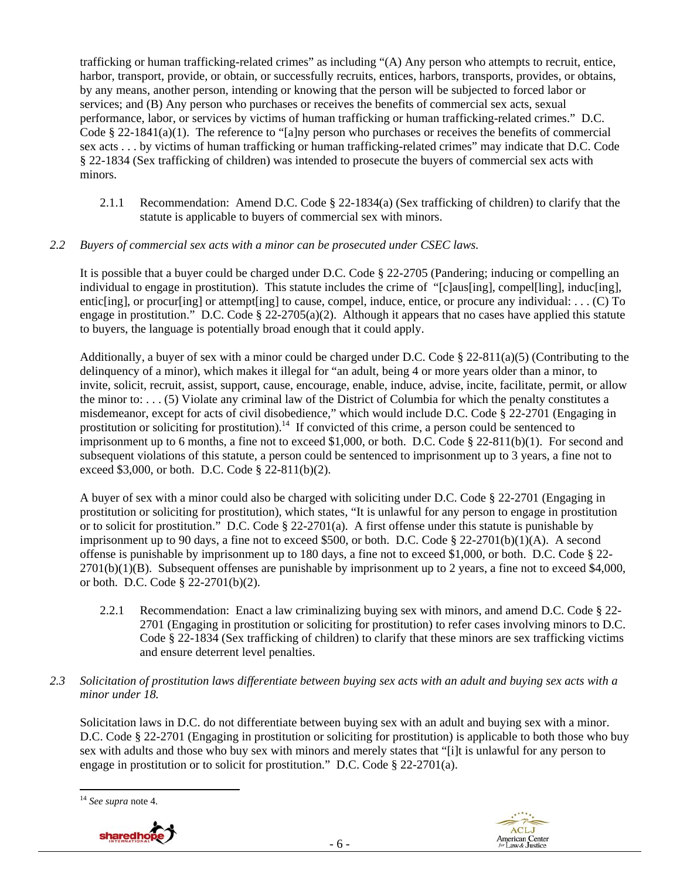trafficking or human trafficking-related crimes" as including "(A) Any person who attempts to recruit, entice, harbor, transport, provide, or obtain, or successfully recruits, entices, harbors, transports, provides, or obtains, by any means, another person, intending or knowing that the person will be subjected to forced labor or services; and (B) Any person who purchases or receives the benefits of commercial sex acts, sexual performance, labor, or services by victims of human trafficking or human trafficking-related crimes." D.C. Code § 22-1841(a)(1). The reference to "[a]ny person who purchases or receives the benefits of commercial sex acts . . . by victims of human trafficking or human trafficking-related crimes" may indicate that D.C. Code § 22-1834 (Sex trafficking of children) was intended to prosecute the buyers of commercial sex acts with minors.

2.1.1 Recommendation: Amend D.C. Code § 22-1834(a) (Sex trafficking of children) to clarify that the statute is applicable to buyers of commercial sex with minors.

## *2.2 Buyers of commercial sex acts with a minor can be prosecuted under CSEC laws.*

It is possible that a buyer could be charged under D.C. Code § 22-2705 (Pandering; inducing or compelling an individual to engage in prostitution). This statute includes the crime of "[c]aus[ing], compel[ling], induc[ing], entic[ing], or procur[ing] or attempt[ing] to cause, compel, induce, entice, or procure any individual: . . . (C) To engage in prostitution." D.C. Code § 22-2705(a)(2). Although it appears that no cases have applied this statute to buyers, the language is potentially broad enough that it could apply.

Additionally, a buyer of sex with a minor could be charged under D.C. Code § 22-811(a)(5) (Contributing to the delinquency of a minor), which makes it illegal for "an adult, being 4 or more years older than a minor, to invite, solicit, recruit, assist, support, cause, encourage, enable, induce, advise, incite, facilitate, permit, or allow the minor to: . . . (5) Violate any criminal law of the District of Columbia for which the penalty constitutes a misdemeanor, except for acts of civil disobedience," which would include D.C. Code § 22-2701 (Engaging in prostitution or soliciting for prostitution).<sup>14</sup> If convicted of this crime, a person could be sentenced to imprisonment up to 6 months, a fine not to exceed \$1,000, or both. D.C. Code § 22-811(b)(1). For second and subsequent violations of this statute, a person could be sentenced to imprisonment up to 3 years, a fine not to exceed \$3,000, or both. D.C. Code § 22-811(b)(2).

A buyer of sex with a minor could also be charged with soliciting under D.C. Code § 22-2701 (Engaging in prostitution or soliciting for prostitution), which states, "It is unlawful for any person to engage in prostitution or to solicit for prostitution." D.C. Code § 22-2701(a). A first offense under this statute is punishable by imprisonment up to 90 days, a fine not to exceed \$500, or both. D.C. Code  $\S 22-2701(b)(1)(A)$ . A second offense is punishable by imprisonment up to 180 days, a fine not to exceed \$1,000, or both. D.C. Code § 22-  $2701(b)(1)(B)$ . Subsequent offenses are punishable by imprisonment up to 2 years, a fine not to exceed \$4,000, or both. D.C. Code § 22-2701(b)(2).

- 2.2.1 Recommendation: Enact a law criminalizing buying sex with minors, and amend D.C. Code § 22- 2701 (Engaging in prostitution or soliciting for prostitution) to refer cases involving minors to D.C. Code § 22-1834 (Sex trafficking of children) to clarify that these minors are sex trafficking victims and ensure deterrent level penalties.
- *2.3 Solicitation of prostitution laws differentiate between buying sex acts with an adult and buying sex acts with a minor under 18.*

Solicitation laws in D.C. do not differentiate between buying sex with an adult and buying sex with a minor. D.C. Code § 22-2701 (Engaging in prostitution or soliciting for prostitution) is applicable to both those who buy sex with adults and those who buy sex with minors and merely states that "[i]t is unlawful for any person to engage in prostitution or to solicit for prostitution." D.C. Code § 22-2701(a).

 <sup>14</sup> *See supra* note 4.



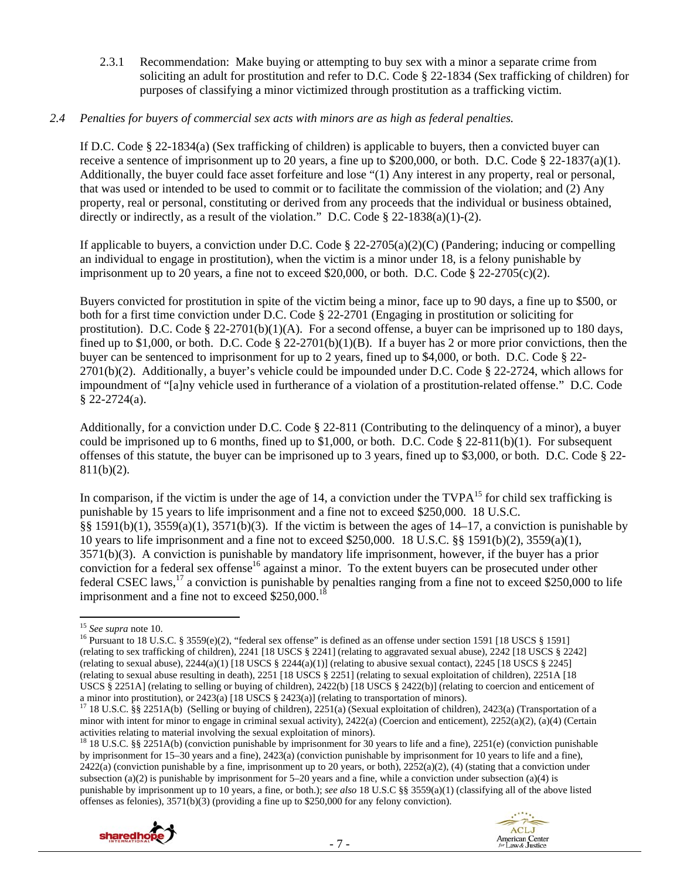2.3.1 Recommendation: Make buying or attempting to buy sex with a minor a separate crime from soliciting an adult for prostitution and refer to D.C. Code § 22-1834 (Sex trafficking of children) for purposes of classifying a minor victimized through prostitution as a trafficking victim.

#### *2.4 Penalties for buyers of commercial sex acts with minors are as high as federal penalties.*

If D.C. Code § 22-1834(a) (Sex trafficking of children) is applicable to buyers, then a convicted buyer can receive a sentence of imprisonment up to 20 years, a fine up to \$200,000, or both. D.C. Code § 22-1837(a)(1). Additionally, the buyer could face asset forfeiture and lose "(1) Any interest in any property, real or personal, that was used or intended to be used to commit or to facilitate the commission of the violation; and (2) Any property, real or personal, constituting or derived from any proceeds that the individual or business obtained, directly or indirectly, as a result of the violation." D.C. Code § 22-1838(a)(1)-(2).

If applicable to buyers, a conviction under D.C. Code § 22-2705(a)(2)(C) (Pandering; inducing or compelling an individual to engage in prostitution), when the victim is a minor under 18, is a felony punishable by imprisonment up to 20 years, a fine not to exceed \$20,000, or both. D.C. Code  $\S$  22-2705(c)(2).

Buyers convicted for prostitution in spite of the victim being a minor, face up to 90 days, a fine up to \$500, or both for a first time conviction under D.C. Code § 22-2701 (Engaging in prostitution or soliciting for prostitution). D.C. Code  $\S$  22-2701(b)(1)(A). For a second offense, a buyer can be imprisoned up to 180 days, fined up to \$1,000, or both. D.C. Code  $\S 22-2701(b)(1)(B)$ . If a buyer has 2 or more prior convictions, then the buyer can be sentenced to imprisonment for up to 2 years, fined up to \$4,000, or both. D.C. Code § 22-  $2701(b)(2)$ . Additionally, a buyer's vehicle could be impounded under D.C. Code § 22-2724, which allows for impoundment of "[a]ny vehicle used in furtherance of a violation of a prostitution-related offense." D.C. Code  $§$  22-2724(a).

Additionally, for a conviction under D.C. Code § 22-811 (Contributing to the delinquency of a minor), a buyer could be imprisoned up to 6 months, fined up to  $$1,000$ , or both. D.C. Code  $$22-811(b)(1)$ . For subsequent offenses of this statute, the buyer can be imprisoned up to 3 years, fined up to \$3,000, or both. D.C. Code § 22- 811(b)(2).

In comparison, if the victim is under the age of 14, a conviction under the  $TVPA^{15}$  for child sex trafficking is punishable by 15 years to life imprisonment and a fine not to exceed \$250,000. 18 U.S.C. §§ 1591(b)(1), 3559(a)(1), 3571(b)(3). If the victim is between the ages of 14–17, a conviction is punishable by 10 years to life imprisonment and a fine not to exceed \$250,000. 18 U.S.C. §§ 1591(b)(2), 3559(a)(1), 3571(b)(3). A conviction is punishable by mandatory life imprisonment, however, if the buyer has a prior conviction for a federal sex offense<sup>16</sup> against a minor. To the extent buyers can be prosecuted under other federal CSEC laws,<sup>17</sup> a conviction is punishable by penalties ranging from a fine not to exceed \$250,000 to life imprisonment and a fine not to exceed  $$250,000$ <sup>18</sup>

<sup>15</sup> *See supra* note 10.<br><sup>16</sup> Pursuant to 18 U.S.C. § 3559(e)(2), "federal sex offense" is defined as an offense under section 1591 [18 USCS § 1591] (relating to sex trafficking of children), 2241 [18 USCS § 2241] (relating to aggravated sexual abuse), 2242 [18 USCS § 2242] (relating to sexual abuse),  $2244(a)(1)$  [18 USCS §  $2244(a)(1)$ ] (relating to abusive sexual contact),  $2245$  [18 USCS § 2245] (relating to sexual abuse resulting in death), 2251 [18 USCS  $\S$  2251] (relating to sexual exploitation of children), 2251A [18] USCS § 2251A] (relating to selling or buying of children), 2422(b) [18 USCS § 2422(b)] (relating to coercion and enticement of a minor into prostitution), or 2423(a) [18 USCS § 2423(a)] (relating to transportation of minors).

<sup>&</sup>lt;sup>18</sup> 18 U.S.C. §§ 2251A(b) (conviction punishable by imprisonment for 30 years to life and a fine), 2251(e) (conviction punishable by imprisonment for 15–30 years and a fine), 2423(a) (conviction punishable by imprisonment for 10 years to life and a fine),  $2422(a)$  (conviction punishable by a fine, imprisonment up to 20 years, or both),  $2252(a)(2)$ , (4) (stating that a conviction under subsection (a)(2) is punishable by imprisonment for  $5-20$  years and a fine, while a conviction under subsection (a)(4) is punishable by imprisonment up to 10 years, a fine, or both.); *see also* 18 U.S.C §§ 3559(a)(1) (classifying all of the above listed offenses as felonies), 3571(b)(3) (providing a fine up to \$250,000 for any felony conviction).





 $^{17}$  18 U.S.C. §§ 2251A(b) (Selling or buying of children), 2251(a) (Sexual exploitation of children), 2423(a) (Transportation of a minor with intent for minor to engage in criminal sexual activity), 2422(a) (Coercion and enticement), 2252(a)(2), (a)(4) (Certain activities relating to material involving the sexual exploitation of minors).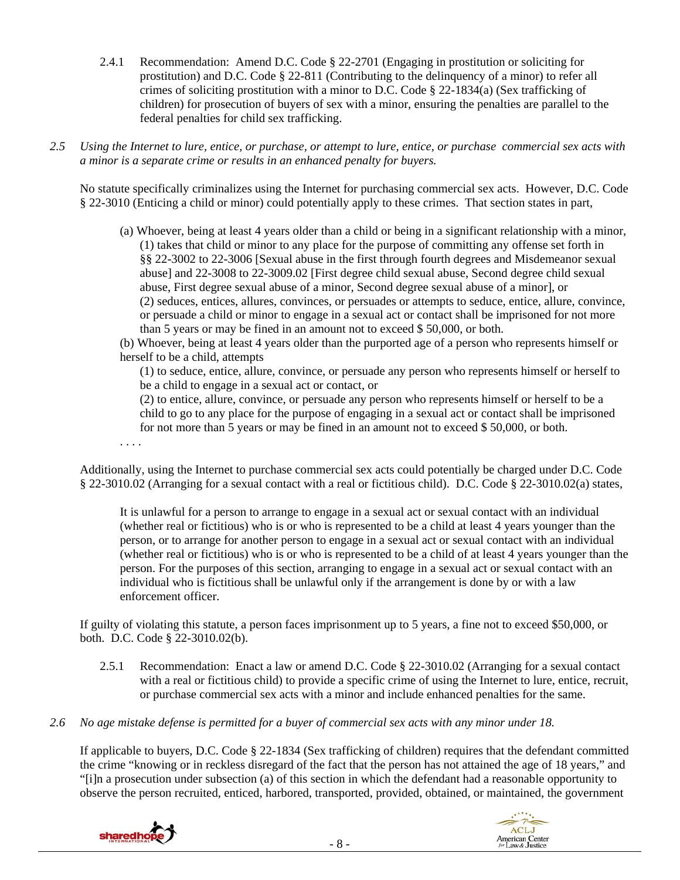- 2.4.1 Recommendation: Amend D.C. Code § 22-2701 (Engaging in prostitution or soliciting for prostitution) and D.C. Code § 22-811 (Contributing to the delinquency of a minor) to refer all crimes of soliciting prostitution with a minor to D.C. Code § 22-1834(a) (Sex trafficking of children) for prosecution of buyers of sex with a minor, ensuring the penalties are parallel to the federal penalties for child sex trafficking.
- *2.5 Using the Internet to lure, entice, or purchase, or attempt to lure, entice, or purchase commercial sex acts with a minor is a separate crime or results in an enhanced penalty for buyers.*

No statute specifically criminalizes using the Internet for purchasing commercial sex acts. However, D.C. Code § 22-3010 (Enticing a child or minor) could potentially apply to these crimes. That section states in part,

(a) Whoever, being at least 4 years older than a child or being in a significant relationship with a minor, (1) takes that child or minor to any place for the purpose of committing any offense set forth in §§ 22-3002 to 22-3006 [Sexual abuse in the first through fourth degrees and Misdemeanor sexual abuse] and 22-3008 to 22-3009.02 [First degree child sexual abuse, Second degree child sexual abuse, First degree sexual abuse of a minor, Second degree sexual abuse of a minor], or (2) seduces, entices, allures, convinces, or persuades or attempts to seduce, entice, allure, convince, or persuade a child or minor to engage in a sexual act or contact shall be imprisoned for not more than 5 years or may be fined in an amount not to exceed \$ 50,000, or both.

(b) Whoever, being at least 4 years older than the purported age of a person who represents himself or herself to be a child, attempts

(1) to seduce, entice, allure, convince, or persuade any person who represents himself or herself to be a child to engage in a sexual act or contact, or

(2) to entice, allure, convince, or persuade any person who represents himself or herself to be a child to go to any place for the purpose of engaging in a sexual act or contact shall be imprisoned for not more than 5 years or may be fined in an amount not to exceed \$ 50,000, or both.

. . . .

Additionally, using the Internet to purchase commercial sex acts could potentially be charged under D.C. Code § 22-3010.02 (Arranging for a sexual contact with a real or fictitious child). D.C. Code § 22-3010.02(a) states,

It is unlawful for a person to arrange to engage in a sexual act or sexual contact with an individual (whether real or fictitious) who is or who is represented to be a child at least 4 years younger than the person, or to arrange for another person to engage in a sexual act or sexual contact with an individual (whether real or fictitious) who is or who is represented to be a child of at least 4 years younger than the person. For the purposes of this section, arranging to engage in a sexual act or sexual contact with an individual who is fictitious shall be unlawful only if the arrangement is done by or with a law enforcement officer.

If guilty of violating this statute, a person faces imprisonment up to 5 years, a fine not to exceed \$50,000, or both. D.C. Code § 22-3010.02(b).

- 2.5.1 Recommendation: Enact a law or amend D.C. Code § 22-3010.02 (Arranging for a sexual contact with a real or fictitious child) to provide a specific crime of using the Internet to lure, entice, recruit, or purchase commercial sex acts with a minor and include enhanced penalties for the same.
- *2.6 No age mistake defense is permitted for a buyer of commercial sex acts with any minor under 18.*

If applicable to buyers, D.C. Code § 22-1834 (Sex trafficking of children) requires that the defendant committed the crime "knowing or in reckless disregard of the fact that the person has not attained the age of 18 years," and "[i]n a prosecution under subsection (a) of this section in which the defendant had a reasonable opportunity to observe the person recruited, enticed, harbored, transported, provided, obtained, or maintained, the government



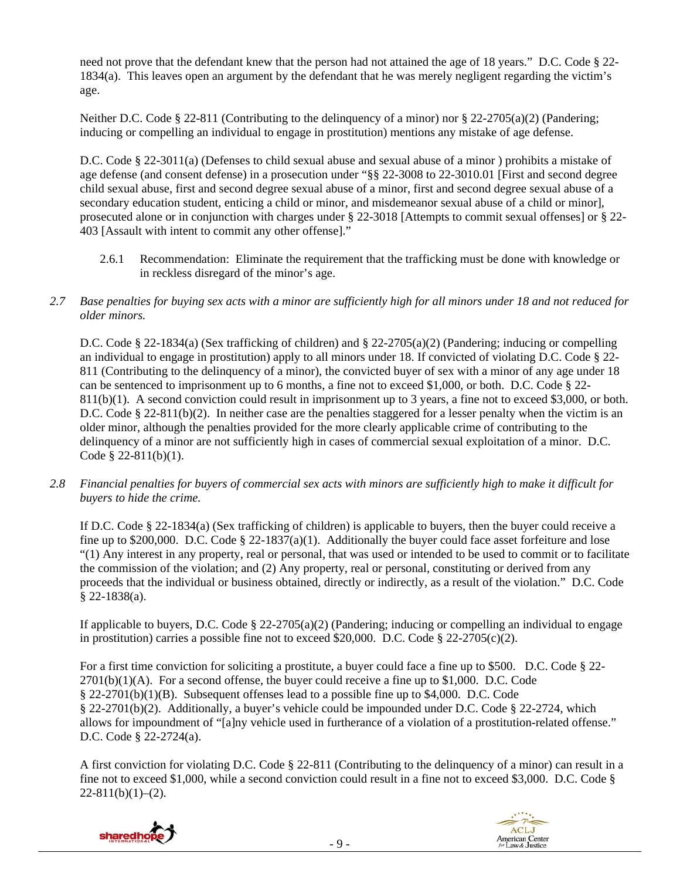need not prove that the defendant knew that the person had not attained the age of 18 years." D.C. Code § 22- 1834(a). This leaves open an argument by the defendant that he was merely negligent regarding the victim's age.

Neither D.C. Code § 22-811 (Contributing to the delinquency of a minor) nor § 22-2705(a)(2) (Pandering; inducing or compelling an individual to engage in prostitution) mentions any mistake of age defense.

D.C. Code § 22-3011(a) (Defenses to child sexual abuse and sexual abuse of a minor ) prohibits a mistake of age defense (and consent defense) in a prosecution under "§§ 22-3008 to 22-3010.01 [First and second degree child sexual abuse, first and second degree sexual abuse of a minor, first and second degree sexual abuse of a secondary education student, enticing a child or minor, and misdemeanor sexual abuse of a child or minor], prosecuted alone or in conjunction with charges under § 22-3018 [Attempts to commit sexual offenses] or § 22- 403 [Assault with intent to commit any other offense]."

- 2.6.1 Recommendation: Eliminate the requirement that the trafficking must be done with knowledge or in reckless disregard of the minor's age.
- *2.7 Base penalties for buying sex acts with a minor are sufficiently high for all minors under 18 and not reduced for older minors.*

D.C. Code § 22-1834(a) (Sex trafficking of children) and § 22-2705(a)(2) (Pandering; inducing or compelling an individual to engage in prostitution) apply to all minors under 18. If convicted of violating D.C. Code § 22- 811 (Contributing to the delinquency of a minor), the convicted buyer of sex with a minor of any age under 18 can be sentenced to imprisonment up to 6 months, a fine not to exceed \$1,000, or both. D.C. Code § 22- 811(b)(1). A second conviction could result in imprisonment up to 3 years, a fine not to exceed \$3,000, or both. D.C. Code § 22-811(b)(2). In neither case are the penalties staggered for a lesser penalty when the victim is an older minor, although the penalties provided for the more clearly applicable crime of contributing to the delinquency of a minor are not sufficiently high in cases of commercial sexual exploitation of a minor. D.C. Code § 22-811(b)(1).

*2.8 Financial penalties for buyers of commercial sex acts with minors are sufficiently high to make it difficult for buyers to hide the crime.* 

If D.C. Code § 22-1834(a) (Sex trafficking of children) is applicable to buyers, then the buyer could receive a fine up to \$200,000. D.C. Code § 22-1837(a)(1). Additionally the buyer could face asset for feiture and lose "(1) Any interest in any property, real or personal, that was used or intended to be used to commit or to facilitate the commission of the violation; and (2) Any property, real or personal, constituting or derived from any proceeds that the individual or business obtained, directly or indirectly, as a result of the violation." D.C. Code § 22-1838(a).

If applicable to buyers, D.C. Code  $\S$  22-2705(a)(2) (Pandering; inducing or compelling an individual to engage in prostitution) carries a possible fine not to exceed \$20,000. D.C. Code  $\S$  22-2705(c)(2).

For a first time conviction for soliciting a prostitute, a buyer could face a fine up to \$500. D.C. Code § 22-  $2701(b)(1)(A)$ . For a second offense, the buyer could receive a fine up to \$1,000. D.C. Code § 22-2701(b)(1)(B). Subsequent offenses lead to a possible fine up to \$4,000. D.C. Code § 22-2701(b)(2). Additionally, a buyer's vehicle could be impounded under D.C. Code § 22-2724, which allows for impoundment of "[a]ny vehicle used in furtherance of a violation of a prostitution-related offense." D.C. Code § 22-2724(a).

A first conviction for violating D.C. Code § 22-811 (Contributing to the delinquency of a minor) can result in a fine not to exceed \$1,000, while a second conviction could result in a fine not to exceed \$3,000. D.C. Code §  $22-811(b)(1)-(2)$ .



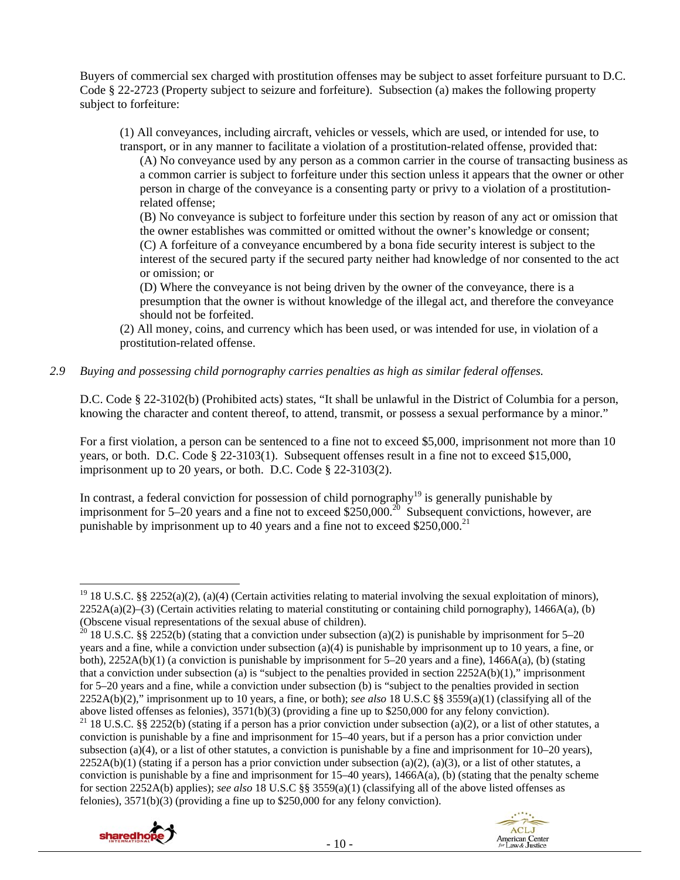Buyers of commercial sex charged with prostitution offenses may be subject to asset forfeiture pursuant to D.C. Code § 22-2723 (Property subject to seizure and forfeiture). Subsection (a) makes the following property subject to forfeiture:

(1) All conveyances, including aircraft, vehicles or vessels, which are used, or intended for use, to transport, or in any manner to facilitate a violation of a prostitution-related offense, provided that:

(A) No conveyance used by any person as a common carrier in the course of transacting business as a common carrier is subject to forfeiture under this section unless it appears that the owner or other person in charge of the conveyance is a consenting party or privy to a violation of a prostitutionrelated offense;

(B) No conveyance is subject to forfeiture under this section by reason of any act or omission that the owner establishes was committed or omitted without the owner's knowledge or consent; (C) A forfeiture of a conveyance encumbered by a bona fide security interest is subject to the interest of the secured party if the secured party neither had knowledge of nor consented to the act

or omission; or

(D) Where the conveyance is not being driven by the owner of the conveyance, there is a presumption that the owner is without knowledge of the illegal act, and therefore the conveyance should not be forfeited.

(2) All money, coins, and currency which has been used, or was intended for use, in violation of a prostitution-related offense.

## *2.9 Buying and possessing child pornography carries penalties as high as similar federal offenses.*

D.C. Code § 22-3102(b) (Prohibited acts) states, "It shall be unlawful in the District of Columbia for a person, knowing the character and content thereof, to attend, transmit, or possess a sexual performance by a minor."

For a first violation, a person can be sentenced to a fine not to exceed \$5,000, imprisonment not more than 10 years, or both. D.C. Code § 22-3103(1). Subsequent offenses result in a fine not to exceed \$15,000, imprisonment up to 20 years, or both. D.C. Code § 22-3103(2).

In contrast, a federal conviction for possession of child pornography<sup>19</sup> is generally punishable by imprisonment for  $5-20$  years and a fine not to exceed \$250,000.<sup>20</sup> Subsequent convictions, however, are punishable by imprisonment up to 40 years and a fine not to exceed  $$250,000.<sup>21</sup>$ 

<sup>&</sup>lt;sup>21</sup> 18 U.S.C. §§ 2252(b) (stating if a person has a prior conviction under subsection (a)(2), or a list of other statutes, a conviction is punishable by a fine and imprisonment for 15–40 years, but if a person has a prior conviction under subsection (a)(4), or a list of other statutes, a conviction is punishable by a fine and imprisonment for  $10-20$  years),  $2252A(b)(1)$  (stating if a person has a prior conviction under subsection (a)(2), (a)(3), or a list of other statutes, a conviction is punishable by a fine and imprisonment for 15–40 years), 1466A(a), (b) (stating that the penalty scheme for section 2252A(b) applies); *see also* 18 U.S.C §§ 3559(a)(1) (classifying all of the above listed offenses as felonies), 3571(b)(3) (providing a fine up to \$250,000 for any felony conviction).





<sup>&</sup>lt;sup>19</sup> 18 U.S.C. §§ 2252(a)(2), (a)(4) (Certain activities relating to material involving the sexual exploitation of minors),  $2252A(a)(2)$ –(3) (Certain activities relating to material constituting or containing child pornography), 1466A(a), (b) (Obscene visual representations of the sexual abuse of children).

<sup>&</sup>lt;sup>20</sup> 18 U.S.C. §§ 2252(b) (stating that a conviction under subsection (a)(2) is punishable by imprisonment for 5–20 years and a fine, while a conviction under subsection (a)(4) is punishable by imprisonment up to 10 years, a fine, or both),  $2252A(b)(1)$  (a conviction is punishable by imprisonment for 5–20 years and a fine),  $1466A(a)$ , (b) (stating that a conviction under subsection (a) is "subject to the penalties provided in section  $2252A(b)(1)$ ," imprisonment for 5–20 years and a fine, while a conviction under subsection (b) is "subject to the penalties provided in section 2252A(b)(2)," imprisonment up to 10 years, a fine, or both); *see also* 18 U.S.C §§ 3559(a)(1) (classifying all of the above listed offenses as felonies), 3571(b)(3) (providing a fine up to \$250,000 for any felony conviction).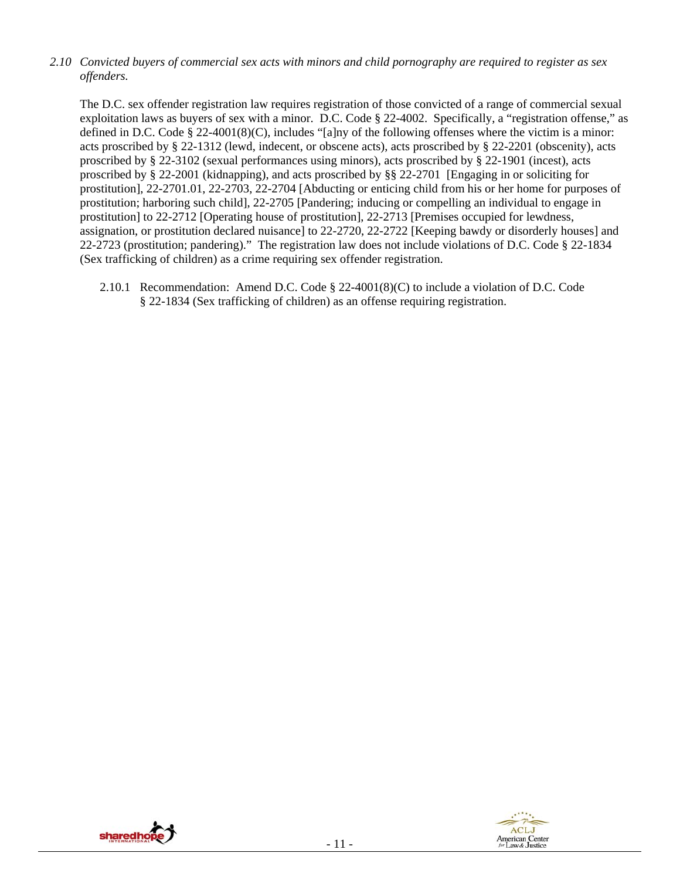*2.10 Convicted buyers of commercial sex acts with minors and child pornography are required to register as sex offenders.*

The D.C. sex offender registration law requires registration of those convicted of a range of commercial sexual exploitation laws as buyers of sex with a minor. D.C. Code § 22-4002. Specifically, a "registration offense," as defined in D.C. Code § 22-4001(8)(C), includes "[a]ny of the following offenses where the victim is a minor: acts proscribed by § 22-1312 (lewd, indecent, or obscene acts), acts proscribed by § 22-2201 (obscenity), acts proscribed by § 22-3102 (sexual performances using minors), acts proscribed by § 22-1901 (incest), acts proscribed by § 22-2001 (kidnapping), and acts proscribed by §§ 22-2701 [Engaging in or soliciting for prostitution], 22-2701.01, 22-2703, 22-2704 [Abducting or enticing child from his or her home for purposes of prostitution; harboring such child], 22-2705 [Pandering; inducing or compelling an individual to engage in prostitution] to 22-2712 [Operating house of prostitution], 22-2713 [Premises occupied for lewdness, assignation, or prostitution declared nuisance] to 22-2720, 22-2722 [Keeping bawdy or disorderly houses] and 22-2723 (prostitution; pandering)." The registration law does not include violations of D.C. Code § 22-1834 (Sex trafficking of children) as a crime requiring sex offender registration.

2.10.1 Recommendation: Amend D.C. Code § 22-4001(8)(C) to include a violation of D.C. Code § 22-1834 (Sex trafficking of children) as an offense requiring registration.



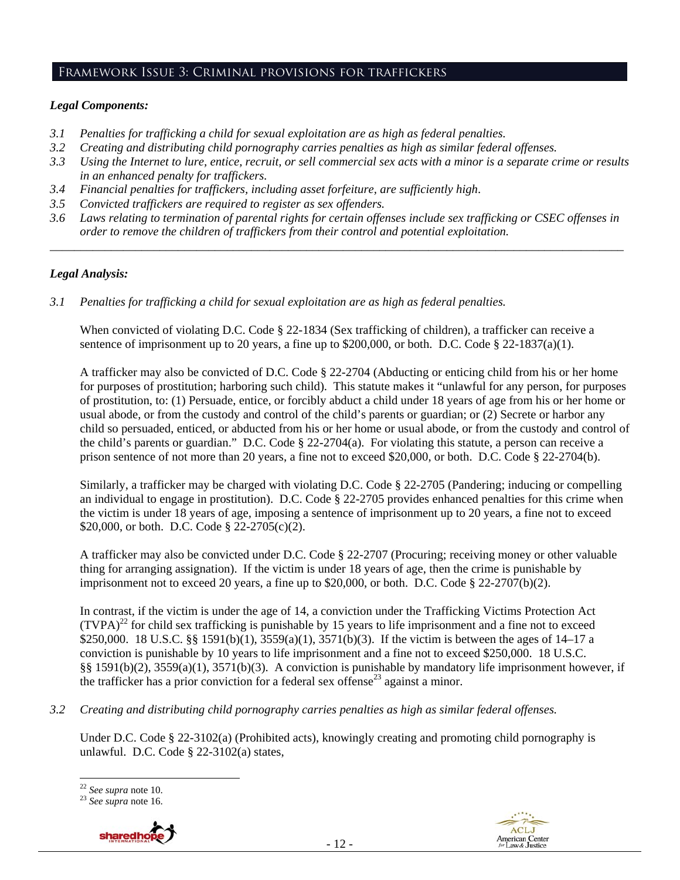## Framework Issue 3: Criminal provisions for traffickers

#### *Legal Components:*

- *3.1 Penalties for trafficking a child for sexual exploitation are as high as federal penalties.*
- *3.2 Creating and distributing child pornography carries penalties as high as similar federal offenses.*
- *3.3 Using the Internet to lure, entice, recruit, or sell commercial sex acts with a minor is a separate crime or results in an enhanced penalty for traffickers.*
- *3.4 Financial penalties for traffickers, including asset forfeiture, are sufficiently high*.
- *3.5 Convicted traffickers are required to register as sex offenders.*
- *3.6 Laws relating to termination of parental rights for certain offenses include sex trafficking or CSEC offenses in order to remove the children of traffickers from their control and potential exploitation. \_\_\_\_\_\_\_\_\_\_\_\_\_\_\_\_\_\_\_\_\_\_\_\_\_\_\_\_\_\_\_\_\_\_\_\_\_\_\_\_\_\_\_\_\_\_\_\_\_\_\_\_\_\_\_\_\_\_\_\_\_\_\_\_\_\_\_\_\_\_\_\_\_\_\_\_\_\_\_\_\_\_\_\_\_\_\_\_\_\_\_\_\_\_*

## *Legal Analysis:*

*3.1 Penalties for trafficking a child for sexual exploitation are as high as federal penalties.* 

When convicted of violating D.C. Code § 22-1834 (Sex trafficking of children), a trafficker can receive a sentence of imprisonment up to 20 years, a fine up to  $$200,000$ , or both. D.C. Code  $$22-1837(a)(1)$ .

A trafficker may also be convicted of D.C. Code § 22-2704 (Abducting or enticing child from his or her home for purposes of prostitution; harboring such child). This statute makes it "unlawful for any person, for purposes of prostitution, to: (1) Persuade, entice, or forcibly abduct a child under 18 years of age from his or her home or usual abode, or from the custody and control of the child's parents or guardian; or (2) Secrete or harbor any child so persuaded, enticed, or abducted from his or her home or usual abode, or from the custody and control of the child's parents or guardian." D.C. Code § 22-2704(a). For violating this statute, a person can receive a prison sentence of not more than 20 years, a fine not to exceed \$20,000, or both. D.C. Code § 22-2704(b).

Similarly, a trafficker may be charged with violating D.C. Code § 22-2705 (Pandering; inducing or compelling an individual to engage in prostitution). D.C. Code § 22-2705 provides enhanced penalties for this crime when the victim is under 18 years of age, imposing a sentence of imprisonment up to 20 years, a fine not to exceed \$20,000, or both. D.C. Code § 22-2705(c)(2).

A trafficker may also be convicted under D.C. Code § 22-2707 (Procuring; receiving money or other valuable thing for arranging assignation). If the victim is under 18 years of age, then the crime is punishable by imprisonment not to exceed 20 years, a fine up to  $$20,000$ , or both. D.C. Code  $$22-2707(b)(2)$ .

In contrast, if the victim is under the age of 14, a conviction under the Trafficking Victims Protection Act  $(TVPA)<sup>22</sup>$  for child sex trafficking is punishable by 15 years to life imprisonment and a fine not to exceed \$250,000. 18 U.S.C. §§ 1591(b)(1), 3559(a)(1), 3571(b)(3). If the victim is between the ages of 14–17 a conviction is punishable by 10 years to life imprisonment and a fine not to exceed \$250,000. 18 U.S.C. §§ 1591(b)(2), 3559(a)(1), 3571(b)(3). A conviction is punishable by mandatory life imprisonment however, if the trafficker has a prior conviction for a federal sex offense<sup>23</sup> against a minor.

*3.2 Creating and distributing child pornography carries penalties as high as similar federal offenses.*

Under D.C. Code § 22-3102(a) (Prohibited acts), knowingly creating and promoting child pornography is unlawful. D.C. Code § 22-3102(a) states,

<sup>22</sup> *See supra* note 10. 23 *See supra* note 16.



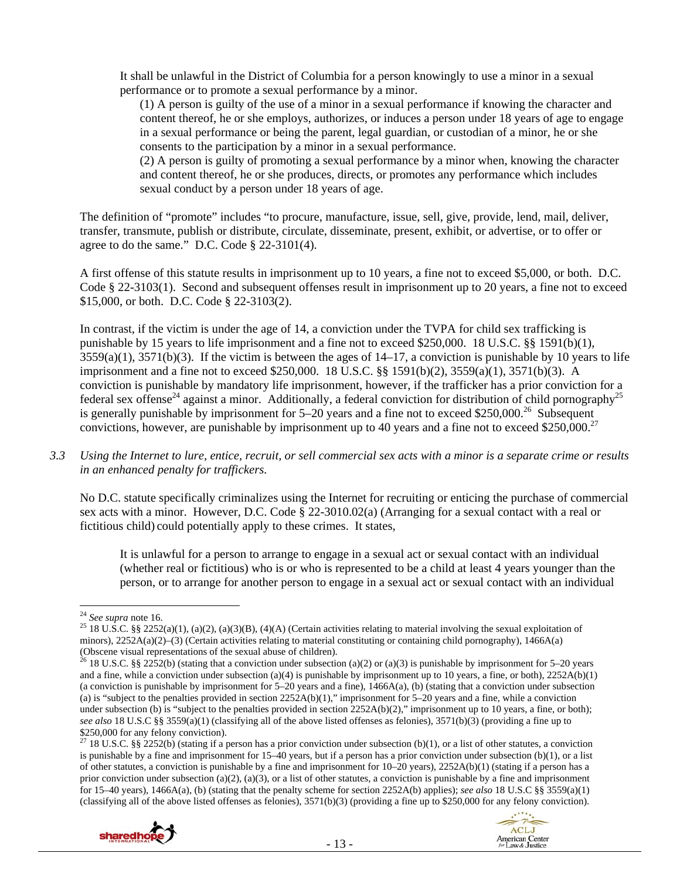It shall be unlawful in the District of Columbia for a person knowingly to use a minor in a sexual performance or to promote a sexual performance by a minor.

(1) A person is guilty of the use of a minor in a sexual performance if knowing the character and content thereof, he or she employs, authorizes, or induces a person under 18 years of age to engage in a sexual performance or being the parent, legal guardian, or custodian of a minor, he or she consents to the participation by a minor in a sexual performance.

(2) A person is guilty of promoting a sexual performance by a minor when, knowing the character and content thereof, he or she produces, directs, or promotes any performance which includes sexual conduct by a person under 18 years of age.

The definition of "promote" includes "to procure, manufacture, issue, sell, give, provide, lend, mail, deliver, transfer, transmute, publish or distribute, circulate, disseminate, present, exhibit, or advertise, or to offer or agree to do the same." D.C. Code § 22-3101(4).

A first offense of this statute results in imprisonment up to 10 years, a fine not to exceed \$5,000, or both. D.C. Code § 22-3103(1). Second and subsequent offenses result in imprisonment up to 20 years, a fine not to exceed \$15,000, or both. D.C. Code § 22-3103(2).

In contrast, if the victim is under the age of 14, a conviction under the TVPA for child sex trafficking is punishable by 15 years to life imprisonment and a fine not to exceed \$250,000. 18 U.S.C. §§ 1591(b)(1),  $3559(a)(1)$ ,  $3571(b)(3)$ . If the victim is between the ages of  $14-17$ , a conviction is punishable by 10 years to life imprisonment and a fine not to exceed \$250,000. 18 U.S.C. §§ 1591(b)(2), 3559(a)(1), 3571(b)(3). A conviction is punishable by mandatory life imprisonment, however, if the trafficker has a prior conviction for a federal sex offense<sup>24</sup> against a minor. Additionally, a federal conviction for distribution of child pornography<sup>25</sup> is generally punishable by imprisonment for  $5-20$  years and a fine not to exceed \$250,000.<sup>26</sup> Subsequent convictions, however, are punishable by imprisonment up to 40 years and a fine not to exceed \$250,000.<sup>27</sup>

*3.3 Using the Internet to lure, entice, recruit, or sell commercial sex acts with a minor is a separate crime or results in an enhanced penalty for traffickers.* 

No D.C. statute specifically criminalizes using the Internet for recruiting or enticing the purchase of commercial sex acts with a minor. However, D.C. Code § 22-3010.02(a) (Arranging for a sexual contact with a real or fictitious child) could potentially apply to these crimes. It states,

It is unlawful for a person to arrange to engage in a sexual act or sexual contact with an individual (whether real or fictitious) who is or who is represented to be a child at least 4 years younger than the person, or to arrange for another person to engage in a sexual act or sexual contact with an individual

<sup>&</sup>lt;sup>27</sup> 18 U.S.C. §§ 2252(b) (stating if a person has a prior conviction under subsection (b)(1), or a list of other statutes, a conviction is punishable by a fine and imprisonment for 15–40 years, but if a person has a prior conviction under subsection (b)(1), or a list of other statutes, a conviction is punishable by a fine and imprisonment for 10–20 years), 2252A(b)(1) (stating if a person has a prior conviction under subsection (a)(2), (a)(3), or a list of other statutes, a conviction is punishable by a fine and imprisonment for 15–40 years), 1466A(a), (b) (stating that the penalty scheme for section 2252A(b) applies); *see also* 18 U.S.C §§ 3559(a)(1) (classifying all of the above listed offenses as felonies), 3571(b)(3) (providing a fine up to \$250,000 for any felony conviction).





<sup>&</sup>lt;sup>24</sup> *See supra* note 16. <sup>25</sup> 18 U.S.C. §§ 2252(a)(1), (a)(2), (a)(3)(B), (4)(A) (Certain activities relating to material involving the sexual exploitation of minors), 2252A(a)(2)–(3) (Certain activities relating to material constituting or containing child pornography), 1466A(a) (Obscene visual representations of the sexual abuse of children).

<sup>&</sup>lt;sup>26</sup> 18 U.S.C. §§ 2252(b) (stating that a conviction under subsection (a)(2) or (a)(3) is punishable by imprisonment for 5–20 years and a fine, while a conviction under subsection (a)(4) is punishable by imprisonment up to 10 years, a fine, or both),  $2252A(b)(1)$ (a conviction is punishable by imprisonment for  $5-20$  years and a fine),  $1466A(a)$ , (b) (stating that a conviction under subsection (a) is "subject to the penalties provided in section  $2252A(b)(1)$ ," imprisonment for 5–20 years and a fine, while a conviction under subsection (b) is "subject to the penalties provided in section  $2252A(b)(2)$ ," imprisonment up to 10 years, a fine, or both); *see also* 18 U.S.C §§ 3559(a)(1) (classifying all of the above listed offenses as felonies), 3571(b)(3) (providing a fine up to \$250,000 for any felony conviction).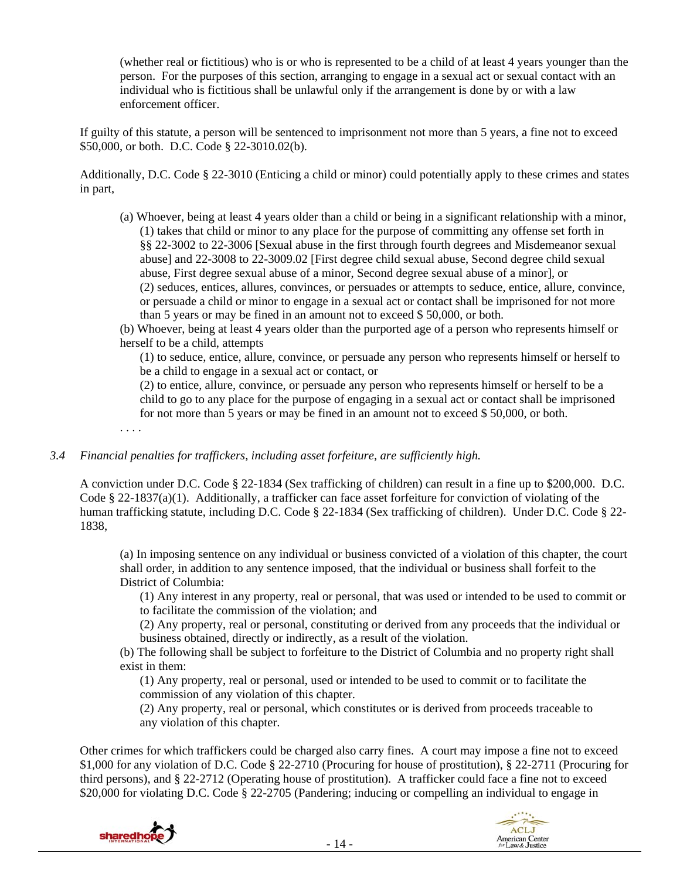(whether real or fictitious) who is or who is represented to be a child of at least 4 years younger than the person. For the purposes of this section, arranging to engage in a sexual act or sexual contact with an individual who is fictitious shall be unlawful only if the arrangement is done by or with a law enforcement officer.

If guilty of this statute, a person will be sentenced to imprisonment not more than 5 years, a fine not to exceed \$50,000, or both. D.C. Code § 22-3010.02(b).

Additionally, D.C. Code § 22-3010 (Enticing a child or minor) could potentially apply to these crimes and states in part,

- (a) Whoever, being at least 4 years older than a child or being in a significant relationship with a minor, (1) takes that child or minor to any place for the purpose of committing any offense set forth in §§ 22-3002 to 22-3006 [Sexual abuse in the first through fourth degrees and Misdemeanor sexual abuse] and 22-3008 to 22-3009.02 [First degree child sexual abuse, Second degree child sexual abuse, First degree sexual abuse of a minor, Second degree sexual abuse of a minor], or (2) seduces, entices, allures, convinces, or persuades or attempts to seduce, entice, allure, convince, or persuade a child or minor to engage in a sexual act or contact shall be imprisoned for not more than 5 years or may be fined in an amount not to exceed \$ 50,000, or both.
- (b) Whoever, being at least 4 years older than the purported age of a person who represents himself or herself to be a child, attempts

(1) to seduce, entice, allure, convince, or persuade any person who represents himself or herself to be a child to engage in a sexual act or contact, or

(2) to entice, allure, convince, or persuade any person who represents himself or herself to be a child to go to any place for the purpose of engaging in a sexual act or contact shall be imprisoned for not more than 5 years or may be fined in an amount not to exceed \$ 50,000, or both.

. . . .

#### *3.4 Financial penalties for traffickers, including asset forfeiture, are sufficiently high.*

A conviction under D.C. Code § 22-1834 (Sex trafficking of children) can result in a fine up to \$200,000. D.C. Code § 22-1837(a)(1). Additionally, a trafficker can face asset for feiture for conviction of violating of the human trafficking statute, including D.C. Code § 22-1834 (Sex trafficking of children). Under D.C. Code § 22- 1838,

(a) In imposing sentence on any individual or business convicted of a violation of this chapter, the court shall order, in addition to any sentence imposed, that the individual or business shall forfeit to the District of Columbia:

(1) Any interest in any property, real or personal, that was used or intended to be used to commit or to facilitate the commission of the violation; and

(2) Any property, real or personal, constituting or derived from any proceeds that the individual or business obtained, directly or indirectly, as a result of the violation.

(b) The following shall be subject to forfeiture to the District of Columbia and no property right shall exist in them:

(1) Any property, real or personal, used or intended to be used to commit or to facilitate the commission of any violation of this chapter.

(2) Any property, real or personal, which constitutes or is derived from proceeds traceable to any violation of this chapter.

Other crimes for which traffickers could be charged also carry fines. A court may impose a fine not to exceed \$1,000 for any violation of D.C. Code § 22-2710 (Procuring for house of prostitution), § 22-2711 (Procuring for third persons), and § 22-2712 (Operating house of prostitution). A trafficker could face a fine not to exceed \$20,000 for violating D.C. Code § 22-2705 (Pandering; inducing or compelling an individual to engage in



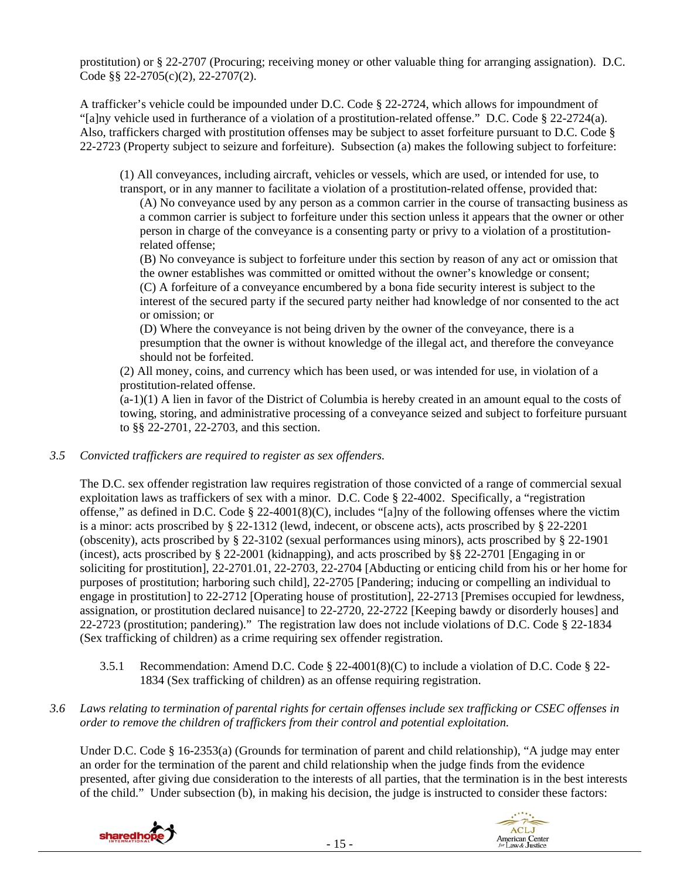prostitution) or § 22-2707 (Procuring; receiving money or other valuable thing for arranging assignation). D.C. Code §§ 22-2705(c)(2), 22-2707(2).

A trafficker's vehicle could be impounded under D.C. Code § 22-2724, which allows for impoundment of "[a]ny vehicle used in furtherance of a violation of a prostitution-related offense." D.C. Code § 22-2724(a). Also, traffickers charged with prostitution offenses may be subject to asset forfeiture pursuant to D.C. Code § 22-2723 (Property subject to seizure and forfeiture). Subsection (a) makes the following subject to forfeiture:

(1) All conveyances, including aircraft, vehicles or vessels, which are used, or intended for use, to transport, or in any manner to facilitate a violation of a prostitution-related offense, provided that:

(A) No conveyance used by any person as a common carrier in the course of transacting business as a common carrier is subject to forfeiture under this section unless it appears that the owner or other person in charge of the conveyance is a consenting party or privy to a violation of a prostitutionrelated offense;

(B) No conveyance is subject to forfeiture under this section by reason of any act or omission that the owner establishes was committed or omitted without the owner's knowledge or consent; (C) A forfeiture of a conveyance encumbered by a bona fide security interest is subject to the interest of the secured party if the secured party neither had knowledge of nor consented to the act or omission; or

(D) Where the conveyance is not being driven by the owner of the conveyance, there is a presumption that the owner is without knowledge of the illegal act, and therefore the conveyance should not be forfeited.

(2) All money, coins, and currency which has been used, or was intended for use, in violation of a prostitution-related offense.

 $(a-1)(1)$  A lien in favor of the District of Columbia is hereby created in an amount equal to the costs of towing, storing, and administrative processing of a conveyance seized and subject to forfeiture pursuant to §§ 22-2701, 22-2703, and this section.

## *3.5 Convicted traffickers are required to register as sex offenders.*

The D.C. sex offender registration law requires registration of those convicted of a range of commercial sexual exploitation laws as traffickers of sex with a minor. D.C. Code § 22-4002. Specifically, a "registration offense," as defined in D.C. Code § 22-4001(8)(C), includes "[a]ny of the following offenses where the victim is a minor: acts proscribed by § 22-1312 (lewd, indecent, or obscene acts), acts proscribed by § 22-2201 (obscenity), acts proscribed by § 22-3102 (sexual performances using minors), acts proscribed by § 22-1901 (incest), acts proscribed by § 22-2001 (kidnapping), and acts proscribed by §§ 22-2701 [Engaging in or soliciting for prostitution], 22-2701.01, 22-2703, 22-2704 [Abducting or enticing child from his or her home for purposes of prostitution; harboring such child], 22-2705 [Pandering; inducing or compelling an individual to engage in prostitution] to 22-2712 [Operating house of prostitution], 22-2713 [Premises occupied for lewdness, assignation, or prostitution declared nuisance] to 22-2720, 22-2722 [Keeping bawdy or disorderly houses] and 22-2723 (prostitution; pandering)." The registration law does not include violations of D.C. Code § 22-1834 (Sex trafficking of children) as a crime requiring sex offender registration.

- 3.5.1 Recommendation: Amend D.C. Code § 22-4001(8)(C) to include a violation of D.C. Code § 22- 1834 (Sex trafficking of children) as an offense requiring registration.
- *3.6 Laws relating to termination of parental rights for certain offenses include sex trafficking or CSEC offenses in order to remove the children of traffickers from their control and potential exploitation.*

Under D.C. Code § 16-2353(a) (Grounds for termination of parent and child relationship), "A judge may enter an order for the termination of the parent and child relationship when the judge finds from the evidence presented, after giving due consideration to the interests of all parties, that the termination is in the best interests of the child." Under subsection (b), in making his decision, the judge is instructed to consider these factors:



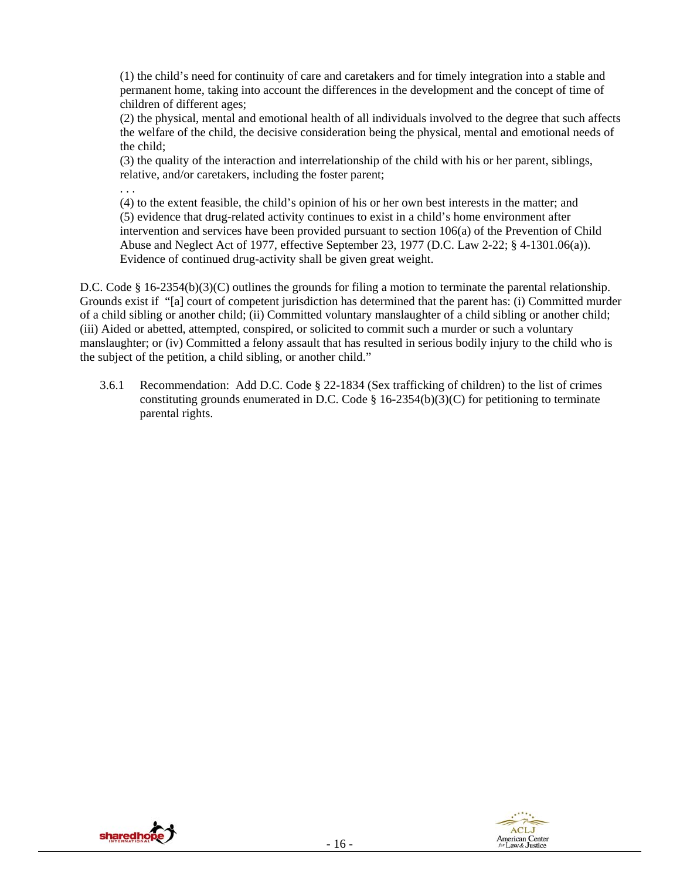(1) the child's need for continuity of care and caretakers and for timely integration into a stable and permanent home, taking into account the differences in the development and the concept of time of children of different ages;

(2) the physical, mental and emotional health of all individuals involved to the degree that such affects the welfare of the child, the decisive consideration being the physical, mental and emotional needs of the child;

(3) the quality of the interaction and interrelationship of the child with his or her parent, siblings, relative, and/or caretakers, including the foster parent;

(4) to the extent feasible, the child's opinion of his or her own best interests in the matter; and (5) evidence that drug-related activity continues to exist in a child's home environment after intervention and services have been provided pursuant to section 106(a) of the Prevention of Child Abuse and Neglect Act of 1977, effective September 23, 1977 (D.C. Law 2-22; § 4-1301.06(a)). Evidence of continued drug-activity shall be given great weight.

D.C. Code § 16-2354(b)(3)(C) outlines the grounds for filing a motion to terminate the parental relationship. Grounds exist if "[a] court of competent jurisdiction has determined that the parent has: (i) Committed murder of a child sibling or another child; (ii) Committed voluntary manslaughter of a child sibling or another child; (iii) Aided or abetted, attempted, conspired, or solicited to commit such a murder or such a voluntary manslaughter; or (iv) Committed a felony assault that has resulted in serious bodily injury to the child who is the subject of the petition, a child sibling, or another child."

3.6.1 Recommendation: Add D.C. Code § 22-1834 (Sex trafficking of children) to the list of crimes constituting grounds enumerated in D.C. Code  $\S$  16-2354(b)(3)(C) for petitioning to terminate parental rights.



. . .

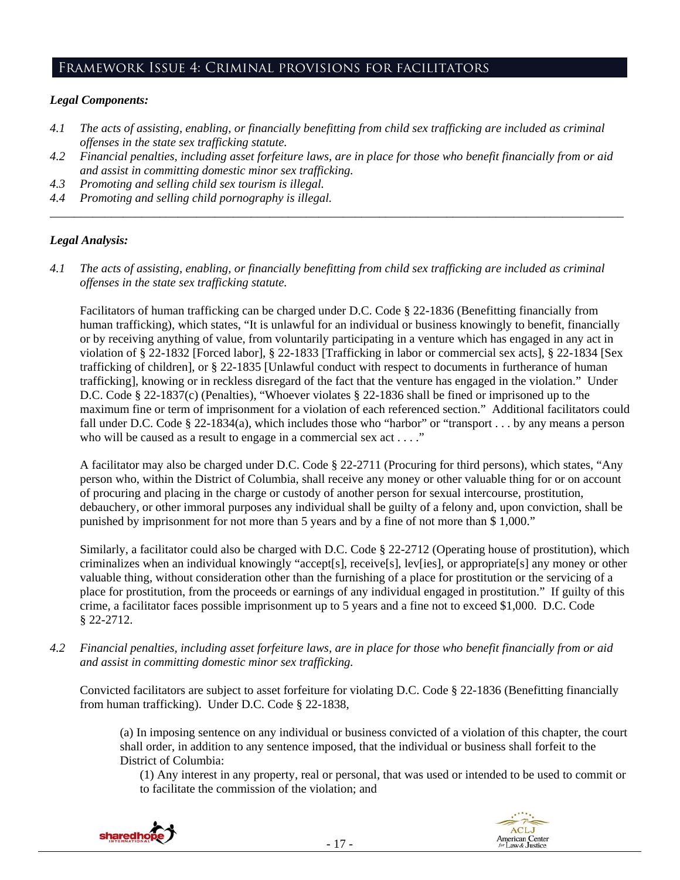## Framework Issue 4: Criminal provisions for facilitators

#### *Legal Components:*

- *4.1 The acts of assisting, enabling, or financially benefitting from child sex trafficking are included as criminal offenses in the state sex trafficking statute.*
- *4.2 Financial penalties, including asset forfeiture laws, are in place for those who benefit financially from or aid and assist in committing domestic minor sex trafficking.*

*\_\_\_\_\_\_\_\_\_\_\_\_\_\_\_\_\_\_\_\_\_\_\_\_\_\_\_\_\_\_\_\_\_\_\_\_\_\_\_\_\_\_\_\_\_\_\_\_\_\_\_\_\_\_\_\_\_\_\_\_\_\_\_\_\_\_\_\_\_\_\_\_\_\_\_\_\_\_\_\_\_\_\_\_\_\_\_\_\_\_\_\_\_\_* 

- *4.3 Promoting and selling child sex tourism is illegal.*
- *4.4 Promoting and selling child pornography is illegal.*

#### *Legal Analysis:*

*4.1 The acts of assisting, enabling, or financially benefitting from child sex trafficking are included as criminal offenses in the state sex trafficking statute.*

Facilitators of human trafficking can be charged under D.C. Code § 22-1836 (Benefitting financially from human trafficking), which states, "It is unlawful for an individual or business knowingly to benefit, financially or by receiving anything of value, from voluntarily participating in a venture which has engaged in any act in violation of § 22-1832 [Forced labor], § 22-1833 [Trafficking in labor or commercial sex acts], § 22-1834 [Sex trafficking of children], or § 22-1835 [Unlawful conduct with respect to documents in furtherance of human trafficking], knowing or in reckless disregard of the fact that the venture has engaged in the violation." Under D.C. Code § 22-1837(c) (Penalties), "Whoever violates § 22-1836 shall be fined or imprisoned up to the maximum fine or term of imprisonment for a violation of each referenced section." Additional facilitators could fall under D.C. Code § 22-1834(a), which includes those who "harbor" or "transport . . . by any means a person who will be caused as a result to engage in a commercial sex act . . . ."

A facilitator may also be charged under D.C. Code § 22-2711 (Procuring for third persons), which states, "Any person who, within the District of Columbia, shall receive any money or other valuable thing for or on account of procuring and placing in the charge or custody of another person for sexual intercourse, prostitution, debauchery, or other immoral purposes any individual shall be guilty of a felony and, upon conviction, shall be punished by imprisonment for not more than 5 years and by a fine of not more than \$ 1,000."

Similarly, a facilitator could also be charged with D.C. Code § 22-2712 (Operating house of prostitution), which criminalizes when an individual knowingly "accept[s], receive[s], lev[ies], or appropriate[s] any money or other valuable thing, without consideration other than the furnishing of a place for prostitution or the servicing of a place for prostitution, from the proceeds or earnings of any individual engaged in prostitution." If guilty of this crime, a facilitator faces possible imprisonment up to 5 years and a fine not to exceed \$1,000. D.C. Code § 22-2712.

*4.2 Financial penalties, including asset forfeiture laws, are in place for those who benefit financially from or aid and assist in committing domestic minor sex trafficking.* 

Convicted facilitators are subject to asset forfeiture for violating D.C. Code § 22-1836 (Benefitting financially from human trafficking). Under D.C. Code § 22-1838,

(a) In imposing sentence on any individual or business convicted of a violation of this chapter, the court shall order, in addition to any sentence imposed, that the individual or business shall forfeit to the District of Columbia:

(1) Any interest in any property, real or personal, that was used or intended to be used to commit or to facilitate the commission of the violation; and



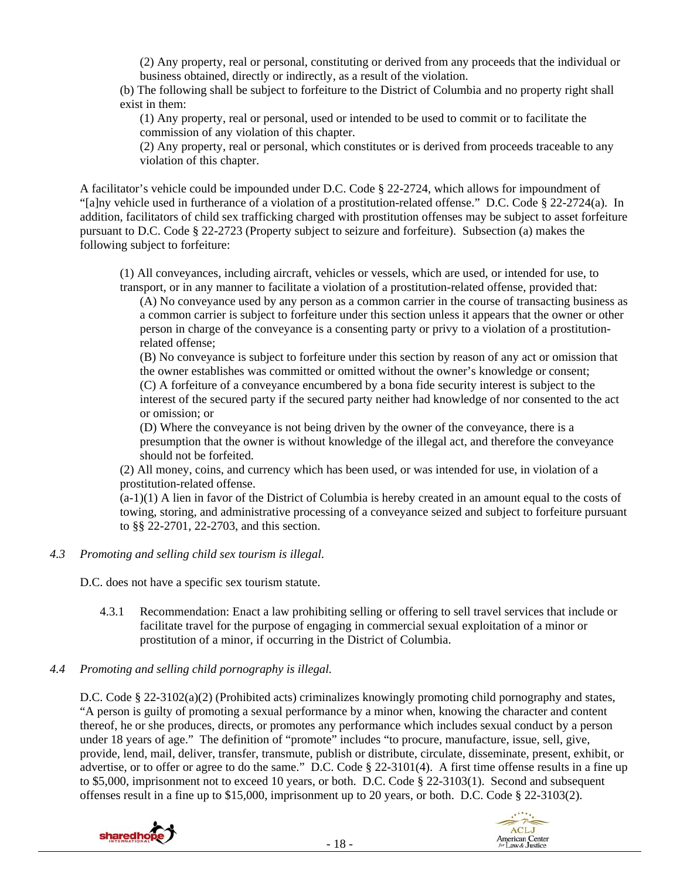(2) Any property, real or personal, constituting or derived from any proceeds that the individual or business obtained, directly or indirectly, as a result of the violation.

(b) The following shall be subject to forfeiture to the District of Columbia and no property right shall exist in them:

(1) Any property, real or personal, used or intended to be used to commit or to facilitate the commission of any violation of this chapter.

(2) Any property, real or personal, which constitutes or is derived from proceeds traceable to any violation of this chapter.

A facilitator's vehicle could be impounded under D.C. Code § 22-2724, which allows for impoundment of "[a]ny vehicle used in furtherance of a violation of a prostitution-related offense." D.C. Code § 22-2724(a). In addition, facilitators of child sex trafficking charged with prostitution offenses may be subject to asset forfeiture pursuant to D.C. Code § 22-2723 (Property subject to seizure and forfeiture). Subsection (a) makes the following subject to forfeiture:

(1) All conveyances, including aircraft, vehicles or vessels, which are used, or intended for use, to transport, or in any manner to facilitate a violation of a prostitution-related offense, provided that:

(A) No conveyance used by any person as a common carrier in the course of transacting business as a common carrier is subject to forfeiture under this section unless it appears that the owner or other person in charge of the conveyance is a consenting party or privy to a violation of a prostitutionrelated offense;

(B) No conveyance is subject to forfeiture under this section by reason of any act or omission that the owner establishes was committed or omitted without the owner's knowledge or consent; (C) A forfeiture of a conveyance encumbered by a bona fide security interest is subject to the interest of the secured party if the secured party neither had knowledge of nor consented to the act or omission; or

(D) Where the conveyance is not being driven by the owner of the conveyance, there is a presumption that the owner is without knowledge of the illegal act, and therefore the conveyance should not be forfeited.

(2) All money, coins, and currency which has been used, or was intended for use, in violation of a prostitution-related offense.

 $(a-1)(1)$  A lien in favor of the District of Columbia is hereby created in an amount equal to the costs of towing, storing, and administrative processing of a conveyance seized and subject to forfeiture pursuant to §§ 22-2701, 22-2703, and this section.

*4.3 Promoting and selling child sex tourism is illegal*.

D.C. does not have a specific sex tourism statute.

4.3.1 Recommendation: Enact a law prohibiting selling or offering to sell travel services that include or facilitate travel for the purpose of engaging in commercial sexual exploitation of a minor or prostitution of a minor, if occurring in the District of Columbia.

## *4.4 Promoting and selling child pornography is illegal.*

D.C. Code § 22-3102(a)(2) (Prohibited acts) criminalizes knowingly promoting child pornography and states, "A person is guilty of promoting a sexual performance by a minor when, knowing the character and content thereof, he or she produces, directs, or promotes any performance which includes sexual conduct by a person under 18 years of age." The definition of "promote" includes "to procure, manufacture, issue, sell, give, provide, lend, mail, deliver, transfer, transmute, publish or distribute, circulate, disseminate, present, exhibit, or advertise, or to offer or agree to do the same." D.C. Code § 22-3101(4). A first time offense results in a fine up to \$5,000, imprisonment not to exceed 10 years, or both. D.C. Code § 22-3103(1). Second and subsequent offenses result in a fine up to \$15,000, imprisonment up to 20 years, or both. D.C. Code § 22-3103(2).



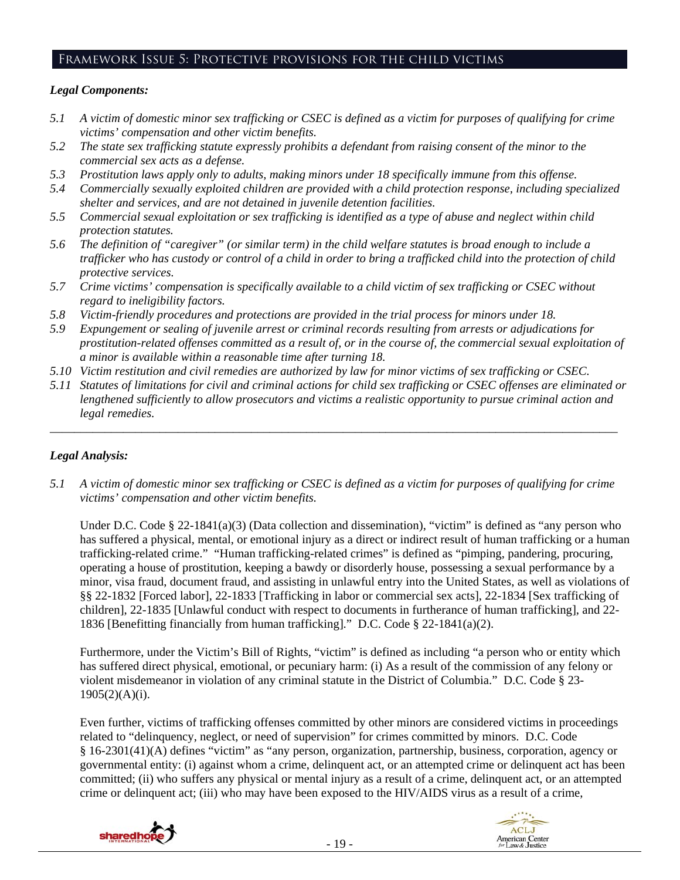## Framework Issue 5: Protective provisions for the child victims

#### *Legal Components:*

- *5.1 A victim of domestic minor sex trafficking or CSEC is defined as a victim for purposes of qualifying for crime victims' compensation and other victim benefits.*
- *5.2 The state sex trafficking statute expressly prohibits a defendant from raising consent of the minor to the commercial sex acts as a defense.*
- *5.3 Prostitution laws apply only to adults, making minors under 18 specifically immune from this offense.*
- *5.4 Commercially sexually exploited children are provided with a child protection response, including specialized shelter and services, and are not detained in juvenile detention facilities.*
- *5.5 Commercial sexual exploitation or sex trafficking is identified as a type of abuse and neglect within child protection statutes.*
- *5.6 The definition of "caregiver" (or similar term) in the child welfare statutes is broad enough to include a trafficker who has custody or control of a child in order to bring a trafficked child into the protection of child protective services.*
- *5.7 Crime victims' compensation is specifically available to a child victim of sex trafficking or CSEC without regard to ineligibility factors.*
- *5.8 Victim-friendly procedures and protections are provided in the trial process for minors under 18.*
- *5.9 Expungement or sealing of juvenile arrest or criminal records resulting from arrests or adjudications for prostitution-related offenses committed as a result of, or in the course of, the commercial sexual exploitation of a minor is available within a reasonable time after turning 18.*
- *5.10 Victim restitution and civil remedies are authorized by law for minor victims of sex trafficking or CSEC.*
- *5.11 Statutes of limitations for civil and criminal actions for child sex trafficking or CSEC offenses are eliminated or lengthened sufficiently to allow prosecutors and victims a realistic opportunity to pursue criminal action and legal remedies.*

*\_\_\_\_\_\_\_\_\_\_\_\_\_\_\_\_\_\_\_\_\_\_\_\_\_\_\_\_\_\_\_\_\_\_\_\_\_\_\_\_\_\_\_\_\_\_\_\_\_\_\_\_\_\_\_\_\_\_\_\_\_\_\_\_\_\_\_\_\_\_\_\_\_\_\_\_\_\_\_\_\_\_\_\_\_\_\_\_\_\_\_\_\_* 

## *Legal Analysis:*

*5.1 A victim of domestic minor sex trafficking or CSEC is defined as a victim for purposes of qualifying for crime victims' compensation and other victim benefits.* 

Under D.C. Code § 22-1841(a)(3) (Data collection and dissemination), "victim" is defined as "any person who has suffered a physical, mental, or emotional injury as a direct or indirect result of human trafficking or a human trafficking-related crime." "Human trafficking-related crimes" is defined as "pimping, pandering, procuring, operating a house of prostitution, keeping a bawdy or disorderly house, possessing a sexual performance by a minor, visa fraud, document fraud, and assisting in unlawful entry into the United States, as well as violations of §§ 22-1832 [Forced labor], 22-1833 [Trafficking in labor or commercial sex acts], 22-1834 [Sex trafficking of children], 22-1835 [Unlawful conduct with respect to documents in furtherance of human trafficking], and 22- 1836 [Benefitting financially from human trafficking]." D.C. Code § 22-1841(a)(2).

Furthermore, under the Victim's Bill of Rights, "victim" is defined as including "a person who or entity which has suffered direct physical, emotional, or pecuniary harm: (i) As a result of the commission of any felony or violent misdemeanor in violation of any criminal statute in the District of Columbia." D.C. Code § 23-  $1905(2)(A)(i)$ .

Even further, victims of trafficking offenses committed by other minors are considered victims in proceedings related to "delinquency, neglect, or need of supervision" for crimes committed by minors. D.C. Code § 16-2301(41)(A) defines "victim" as "any person, organization, partnership, business, corporation, agency or governmental entity: (i) against whom a crime, delinquent act, or an attempted crime or delinquent act has been committed; (ii) who suffers any physical or mental injury as a result of a crime, delinquent act, or an attempted crime or delinquent act; (iii) who may have been exposed to the HIV/AIDS virus as a result of a crime,



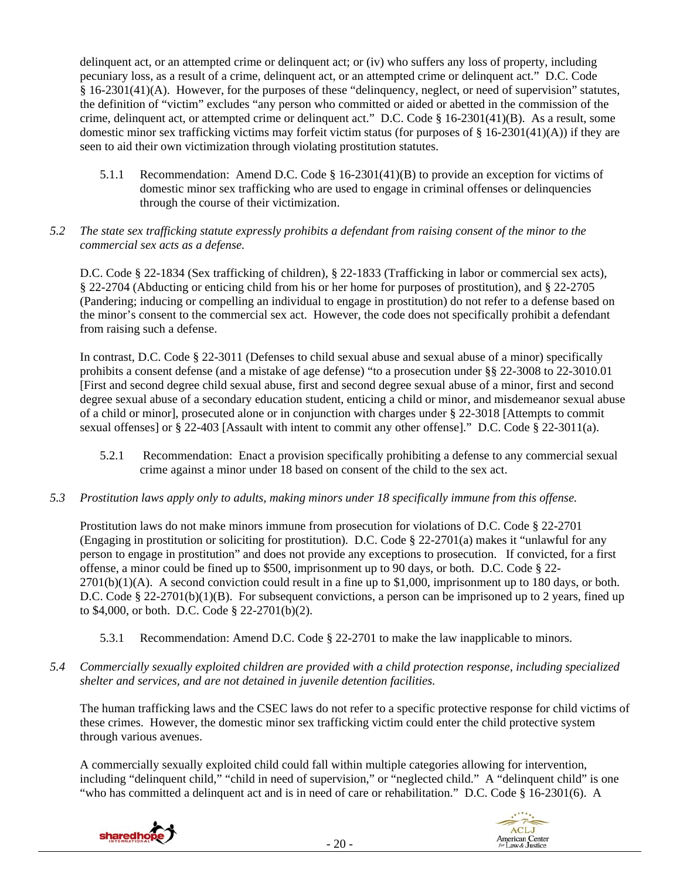delinquent act, or an attempted crime or delinquent act; or (iv) who suffers any loss of property, including pecuniary loss, as a result of a crime, delinquent act, or an attempted crime or delinquent act." D.C. Code § 16-2301(41)(A). However, for the purposes of these "delinquency, neglect, or need of supervision" statutes, the definition of "victim" excludes "any person who committed or aided or abetted in the commission of the crime, delinquent act, or attempted crime or delinquent act." D.C. Code § 16-2301(41)(B). As a result, some domestic minor sex trafficking victims may forfeit victim status (for purposes of  $\S 16-2301(41)(A)$ ) if they are seen to aid their own victimization through violating prostitution statutes.

- 5.1.1 Recommendation: Amend D.C. Code § 16-2301(41)(B) to provide an exception for victims of domestic minor sex trafficking who are used to engage in criminal offenses or delinquencies through the course of their victimization.
- *5.2 The state sex trafficking statute expressly prohibits a defendant from raising consent of the minor to the commercial sex acts as a defense.*

D.C. Code § 22-1834 (Sex trafficking of children), § 22-1833 (Trafficking in labor or commercial sex acts), § 22-2704 (Abducting or enticing child from his or her home for purposes of prostitution), and § 22-2705 (Pandering; inducing or compelling an individual to engage in prostitution) do not refer to a defense based on the minor's consent to the commercial sex act. However, the code does not specifically prohibit a defendant from raising such a defense.

In contrast, D.C. Code § 22-3011 (Defenses to child sexual abuse and sexual abuse of a minor) specifically prohibits a consent defense (and a mistake of age defense) "to a prosecution under §§ 22-3008 to 22-3010.01 [First and second degree child sexual abuse, first and second degree sexual abuse of a minor, first and second degree sexual abuse of a secondary education student, enticing a child or minor, and misdemeanor sexual abuse of a child or minor], prosecuted alone or in conjunction with charges under § 22-3018 [Attempts to commit sexual offenses] or § 22-403 [Assault with intent to commit any other offense]." D.C. Code § 22-3011(a).

- 5.2.1 Recommendation: Enact a provision specifically prohibiting a defense to any commercial sexual crime against a minor under 18 based on consent of the child to the sex act.
- *5.3 Prostitution laws apply only to adults, making minors under 18 specifically immune from this offense.*

Prostitution laws do not make minors immune from prosecution for violations of D.C. Code § 22-2701 (Engaging in prostitution or soliciting for prostitution). D.C. Code § 22-2701(a) makes it "unlawful for any person to engage in prostitution" and does not provide any exceptions to prosecution. If convicted, for a first offense, a minor could be fined up to \$500, imprisonment up to 90 days, or both. D.C. Code § 22-  $2701(b)(1)(A)$ . A second conviction could result in a fine up to \$1,000, imprisonment up to 180 days, or both. D.C. Code § 22-2701(b)(1)(B). For subsequent convictions, a person can be imprisoned up to 2 years, fined up to \$4,000, or both. D.C. Code § 22-2701(b)(2).

- 5.3.1 Recommendation: Amend D.C. Code § 22-2701 to make the law inapplicable to minors.
- *5.4 Commercially sexually exploited children are provided with a child protection response, including specialized shelter and services, and are not detained in juvenile detention facilities.*

The human trafficking laws and the CSEC laws do not refer to a specific protective response for child victims of these crimes. However, the domestic minor sex trafficking victim could enter the child protective system through various avenues.

A commercially sexually exploited child could fall within multiple categories allowing for intervention, including "delinquent child," "child in need of supervision," or "neglected child." A "delinquent child" is one "who has committed a delinquent act and is in need of care or rehabilitation." D.C. Code § 16-2301(6). A



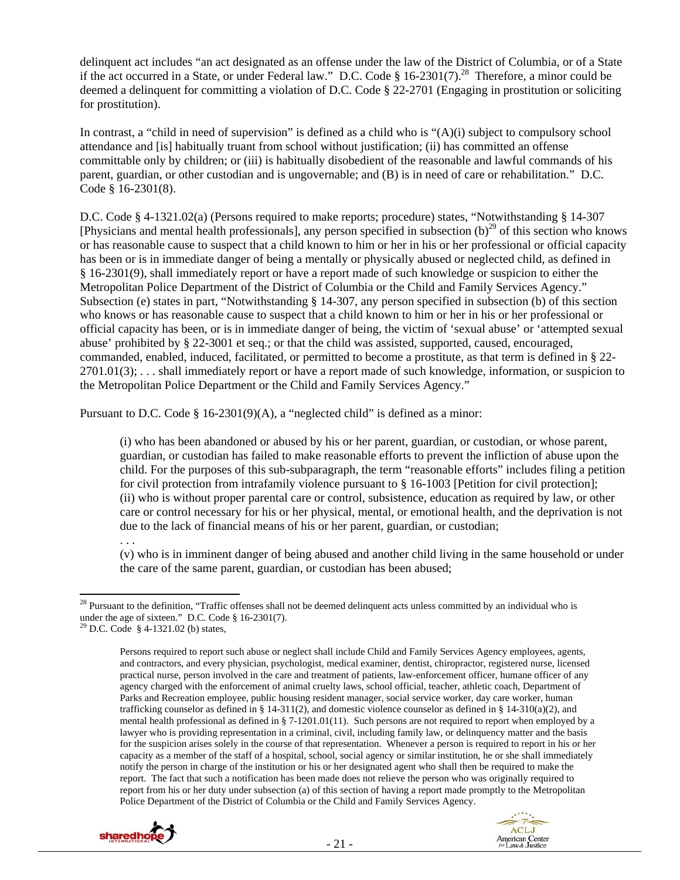delinquent act includes "an act designated as an offense under the law of the District of Columbia, or of a State if the act occurred in a State, or under Federal law." D.C. Code § 16-2301(7).<sup>28</sup> Therefore, a minor could be deemed a delinquent for committing a violation of D.C. Code § 22-2701 (Engaging in prostitution or soliciting for prostitution).

In contrast, a "child in need of supervision" is defined as a child who is "(A)(i) subject to compulsory school attendance and [is] habitually truant from school without justification; (ii) has committed an offense committable only by children; or (iii) is habitually disobedient of the reasonable and lawful commands of his parent, guardian, or other custodian and is ungovernable; and (B) is in need of care or rehabilitation." D.C. Code § 16-2301(8).

D.C. Code § 4-1321.02(a) (Persons required to make reports; procedure) states, "Notwithstanding § 14-307 [Physicians and mental health professionals], any person specified in subsection (b)<sup>29</sup> of this section who knows or has reasonable cause to suspect that a child known to him or her in his or her professional or official capacity has been or is in immediate danger of being a mentally or physically abused or neglected child, as defined in § 16-2301(9), shall immediately report or have a report made of such knowledge or suspicion to either the Metropolitan Police Department of the District of Columbia or the Child and Family Services Agency." Subsection (e) states in part, "Notwithstanding § 14-307, any person specified in subsection (b) of this section who knows or has reasonable cause to suspect that a child known to him or her in his or her professional or official capacity has been, or is in immediate danger of being, the victim of 'sexual abuse' or 'attempted sexual abuse' prohibited by § 22-3001 et seq.; or that the child was assisted, supported, caused, encouraged, commanded, enabled, induced, facilitated, or permitted to become a prostitute, as that term is defined in § 22-  $2701.01(3)$ ; ... shall immediately report or have a report made of such knowledge, information, or suspicion to the Metropolitan Police Department or the Child and Family Services Agency."

Pursuant to D.C. Code  $\S$  16-2301(9)(A), a "neglected child" is defined as a minor:

(i) who has been abandoned or abused by his or her parent, guardian, or custodian, or whose parent, guardian, or custodian has failed to make reasonable efforts to prevent the infliction of abuse upon the child. For the purposes of this sub-subparagraph, the term "reasonable efforts" includes filing a petition for civil protection from intrafamily violence pursuant to § 16-1003 [Petition for civil protection]; (ii) who is without proper parental care or control, subsistence, education as required by law, or other care or control necessary for his or her physical, mental, or emotional health, and the deprivation is not due to the lack of financial means of his or her parent, guardian, or custodian;

. . .

(v) who is in imminent danger of being abused and another child living in the same household or under the care of the same parent, guardian, or custodian has been abused;

Persons required to report such abuse or neglect shall include Child and Family Services Agency employees, agents, and contractors, and every physician, psychologist, medical examiner, dentist, chiropractor, registered nurse, licensed practical nurse, person involved in the care and treatment of patients, law-enforcement officer, humane officer of any agency charged with the enforcement of animal cruelty laws, school official, teacher, athletic coach, Department of Parks and Recreation employee, public housing resident manager, social service worker, day care worker, human trafficking counselor as defined in § 14-311(2), and domestic violence counselor as defined in § 14-310(a)(2), and mental health professional as defined in § 7-1201.01(11). Such persons are not required to report when employed by a lawyer who is providing representation in a criminal, civil, including family law, or delinquency matter and the basis for the suspicion arises solely in the course of that representation. Whenever a person is required to report in his or her capacity as a member of the staff of a hospital, school, social agency or similar institution, he or she shall immediately notify the person in charge of the institution or his or her designated agent who shall then be required to make the report. The fact that such a notification has been made does not relieve the person who was originally required to report from his or her duty under subsection (a) of this section of having a report made promptly to the Metropolitan Police Department of the District of Columbia or the Child and Family Services Agency.





  $2<sup>28</sup>$  Pursuant to the definition, "Traffic offenses shall not be deemed delinquent acts unless committed by an individual who is under the age of sixteen." D.C. Code § 16-2301(7).

<sup>29</sup> D.C. Code § 4-1321.02 (b) states,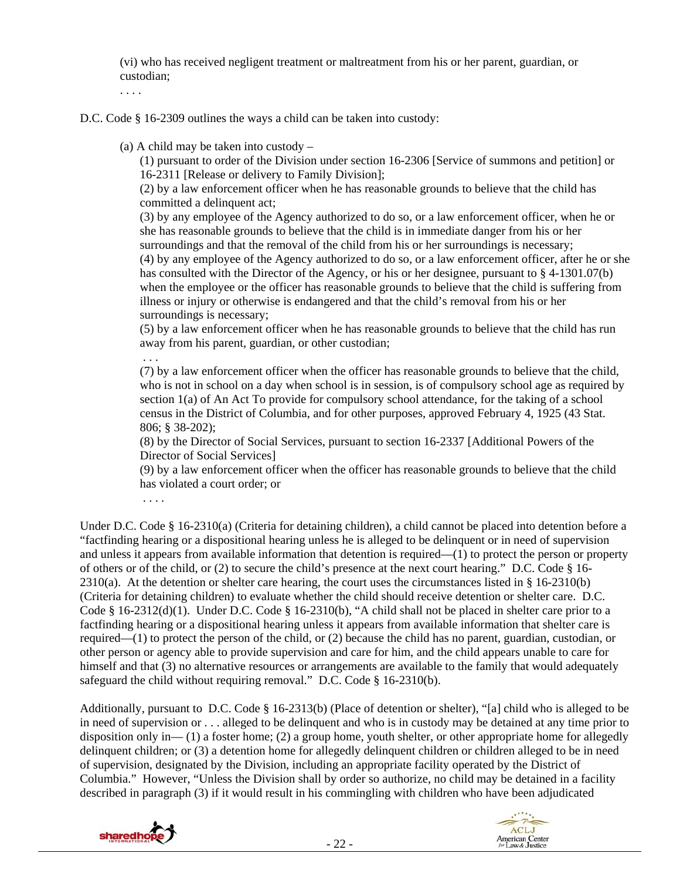(vi) who has received negligent treatment or maltreatment from his or her parent, guardian, or custodian;

. . . .

D.C. Code § 16-2309 outlines the ways a child can be taken into custody:

(a) A child may be taken into custody –

(1) pursuant to order of the Division under section 16-2306 [Service of summons and petition] or 16-2311 [Release or delivery to Family Division];

(2) by a law enforcement officer when he has reasonable grounds to believe that the child has committed a delinquent act;

(3) by any employee of the Agency authorized to do so, or a law enforcement officer, when he or she has reasonable grounds to believe that the child is in immediate danger from his or her surroundings and that the removal of the child from his or her surroundings is necessary; (4) by any employee of the Agency authorized to do so, or a law enforcement officer, after he or she has consulted with the Director of the Agency, or his or her designee, pursuant to § 4-1301.07(b) when the employee or the officer has reasonable grounds to believe that the child is suffering from illness or injury or otherwise is endangered and that the child's removal from his or her surroundings is necessary;

(5) by a law enforcement officer when he has reasonable grounds to believe that the child has run away from his parent, guardian, or other custodian;

. . .

(7) by a law enforcement officer when the officer has reasonable grounds to believe that the child, who is not in school on a day when school is in session, is of compulsory school age as required by section 1(a) of An Act To provide for compulsory school attendance, for the taking of a school census in the District of Columbia, and for other purposes, approved February 4, 1925 (43 Stat. 806; § 38-202);

(8) by the Director of Social Services, pursuant to section 16-2337 [Additional Powers of the Director of Social Services]

(9) by a law enforcement officer when the officer has reasonable grounds to believe that the child has violated a court order; or

. . . .

Under D.C. Code § 16-2310(a) (Criteria for detaining children), a child cannot be placed into detention before a "factfinding hearing or a dispositional hearing unless he is alleged to be delinquent or in need of supervision and unless it appears from available information that detention is required—(1) to protect the person or property of others or of the child, or (2) to secure the child's presence at the next court hearing." D.C. Code § 16-  $2310(a)$ . At the detention or shelter care hearing, the court uses the circumstances listed in § 16-2310(b) (Criteria for detaining children) to evaluate whether the child should receive detention or shelter care. D.C. Code § 16-2312(d)(1). Under D.C. Code § 16-2310(b), "A child shall not be placed in shelter care prior to a factfinding hearing or a dispositional hearing unless it appears from available information that shelter care is required—(1) to protect the person of the child, or (2) because the child has no parent, guardian, custodian, or other person or agency able to provide supervision and care for him, and the child appears unable to care for himself and that (3) no alternative resources or arrangements are available to the family that would adequately safeguard the child without requiring removal." D.C. Code § 16-2310(b).

Additionally, pursuant to D.C. Code § 16-2313(b) (Place of detention or shelter), "[a] child who is alleged to be in need of supervision or . . . alleged to be delinquent and who is in custody may be detained at any time prior to disposition only in— (1) a foster home; (2) a group home, youth shelter, or other appropriate home for allegedly delinquent children; or (3) a detention home for allegedly delinquent children or children alleged to be in need of supervision, designated by the Division, including an appropriate facility operated by the District of Columbia." However, "Unless the Division shall by order so authorize, no child may be detained in a facility described in paragraph (3) if it would result in his commingling with children who have been adjudicated



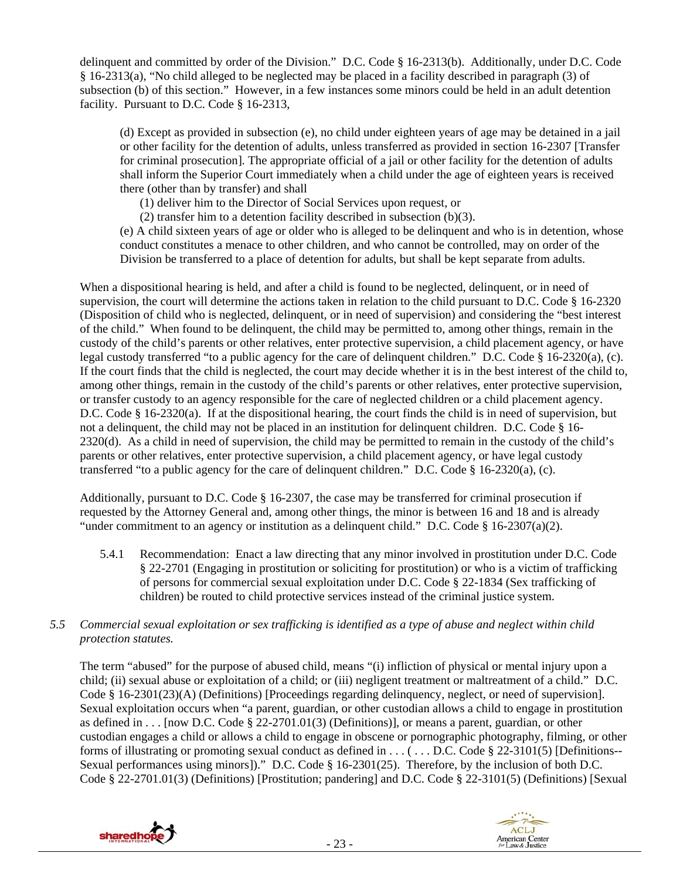delinquent and committed by order of the Division." D.C. Code § 16-2313(b). Additionally, under D.C. Code § 16-2313(a), "No child alleged to be neglected may be placed in a facility described in paragraph (3) of subsection (b) of this section." However, in a few instances some minors could be held in an adult detention facility. Pursuant to D.C. Code § 16-2313,

(d) Except as provided in subsection (e), no child under eighteen years of age may be detained in a jail or other facility for the detention of adults, unless transferred as provided in section 16-2307 [Transfer for criminal prosecution]. The appropriate official of a jail or other facility for the detention of adults shall inform the Superior Court immediately when a child under the age of eighteen years is received there (other than by transfer) and shall

(1) deliver him to the Director of Social Services upon request, or

(2) transfer him to a detention facility described in subsection (b)(3).

(e) A child sixteen years of age or older who is alleged to be delinquent and who is in detention, whose conduct constitutes a menace to other children, and who cannot be controlled, may on order of the Division be transferred to a place of detention for adults, but shall be kept separate from adults.

When a dispositional hearing is held, and after a child is found to be neglected, delinquent, or in need of supervision, the court will determine the actions taken in relation to the child pursuant to D.C. Code § 16-2320 (Disposition of child who is neglected, delinquent, or in need of supervision) and considering the "best interest of the child." When found to be delinquent, the child may be permitted to, among other things, remain in the custody of the child's parents or other relatives, enter protective supervision, a child placement agency, or have legal custody transferred "to a public agency for the care of delinquent children." D.C. Code § 16-2320(a), (c). If the court finds that the child is neglected, the court may decide whether it is in the best interest of the child to, among other things, remain in the custody of the child's parents or other relatives, enter protective supervision, or transfer custody to an agency responsible for the care of neglected children or a child placement agency. D.C. Code § 16-2320(a). If at the dispositional hearing, the court finds the child is in need of supervision, but not a delinquent, the child may not be placed in an institution for delinquent children. D.C. Code § 16- 2320(d). As a child in need of supervision, the child may be permitted to remain in the custody of the child's parents or other relatives, enter protective supervision, a child placement agency, or have legal custody transferred "to a public agency for the care of delinquent children." D.C. Code § 16-2320(a), (c).

Additionally, pursuant to D.C. Code § 16-2307, the case may be transferred for criminal prosecution if requested by the Attorney General and, among other things, the minor is between 16 and 18 and is already "under commitment to an agency or institution as a delinquent child." D.C. Code  $\S$  16-2307(a)(2).

- 5.4.1 Recommendation: Enact a law directing that any minor involved in prostitution under D.C. Code § 22-2701 (Engaging in prostitution or soliciting for prostitution) or who is a victim of trafficking of persons for commercial sexual exploitation under D.C. Code § 22-1834 (Sex trafficking of children) be routed to child protective services instead of the criminal justice system.
- *5.5 Commercial sexual exploitation or sex trafficking is identified as a type of abuse and neglect within child protection statutes.*

The term "abused" for the purpose of abused child, means "(i) infliction of physical or mental injury upon a child; (ii) sexual abuse or exploitation of a child; or (iii) negligent treatment or maltreatment of a child." D.C. Code § 16-2301(23)(A) (Definitions) [Proceedings regarding delinquency, neglect, or need of supervision]. Sexual exploitation occurs when "a parent, guardian, or other custodian allows a child to engage in prostitution as defined in  $\dots$  [now D.C. Code § 22-2701.01(3) (Definitions)], or means a parent, guardian, or other custodian engages a child or allows a child to engage in obscene or pornographic photography, filming, or other forms of illustrating or promoting sexual conduct as defined in ... (... D.C. Code § 22-3101(5) [Definitions--Sexual performances using minors])." D.C. Code § 16-2301(25). Therefore, by the inclusion of both D.C. Code § 22-2701.01(3) (Definitions) [Prostitution; pandering] and D.C. Code § 22-3101(5) (Definitions) [Sexual



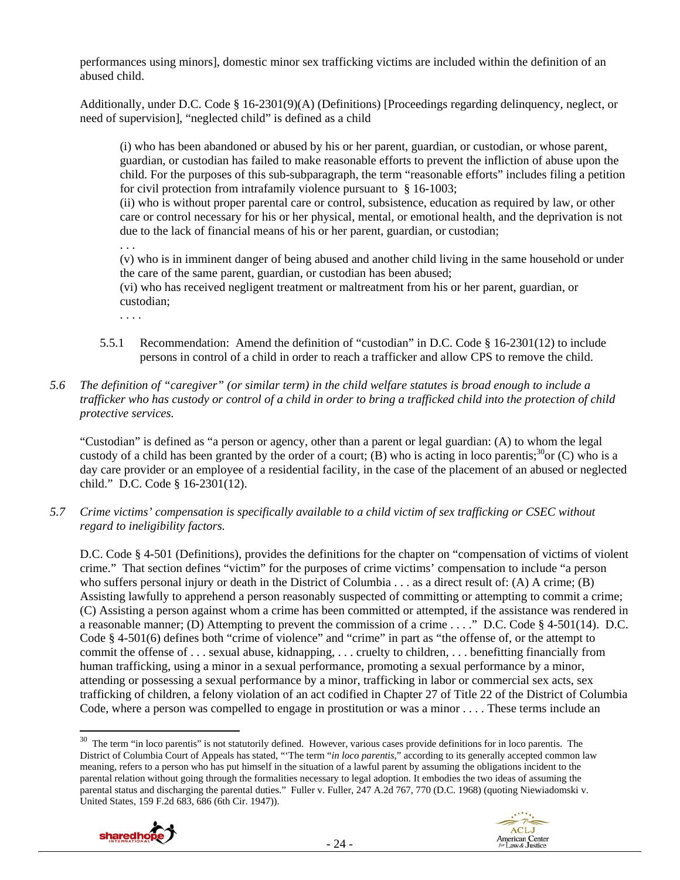performances using minors], domestic minor sex trafficking victims are included within the definition of an abused child.

Additionally, under D.C. Code § 16-2301(9)(A) (Definitions) [Proceedings regarding delinquency, neglect, or need of supervision], "neglected child" is defined as a child

(i) who has been abandoned or abused by his or her parent, guardian, or custodian, or whose parent, guardian, or custodian has failed to make reasonable efforts to prevent the infliction of abuse upon the child. For the purposes of this sub-subparagraph, the term "reasonable efforts" includes filing a petition for civil protection from intrafamily violence pursuant to § 16-1003;

(ii) who is without proper parental care or control, subsistence, education as required by law, or other care or control necessary for his or her physical, mental, or emotional health, and the deprivation is not due to the lack of financial means of his or her parent, guardian, or custodian;

. . .

(v) who is in imminent danger of being abused and another child living in the same household or under the care of the same parent, guardian, or custodian has been abused;

(vi) who has received negligent treatment or maltreatment from his or her parent, guardian, or custodian;

. . . .

- 5.5.1 Recommendation: Amend the definition of "custodian" in D.C. Code § 16-2301(12) to include persons in control of a child in order to reach a trafficker and allow CPS to remove the child.
- *5.6 The definition of "caregiver" (or similar term) in the child welfare statutes is broad enough to include a trafficker who has custody or control of a child in order to bring a trafficked child into the protection of child protective services.*

"Custodian" is defined as "a person or agency, other than a parent or legal guardian: (A) to whom the legal custody of a child has been granted by the order of a court; (B) who is acting in loco parentis;<sup>30</sup>or (C) who is a day care provider or an employee of a residential facility, in the case of the placement of an abused or neglected child." D.C. Code § 16-2301(12).

*5.7 Crime victims' compensation is specifically available to a child victim of sex trafficking or CSEC without regard to ineligibility factors.* 

D.C. Code § 4-501 (Definitions), provides the definitions for the chapter on "compensation of victims of violent crime." That section defines "victim" for the purposes of crime victims' compensation to include "a person who suffers personal injury or death in the District of Columbia . . . as a direct result of: (A) A crime; (B) Assisting lawfully to apprehend a person reasonably suspected of committing or attempting to commit a crime; (C) Assisting a person against whom a crime has been committed or attempted, if the assistance was rendered in a reasonable manner; (D) Attempting to prevent the commission of a crime . . . ." D.C. Code § 4-501(14). D.C. Code § 4-501(6) defines both "crime of violence" and "crime" in part as "the offense of, or the attempt to commit the offense of . . . sexual abuse, kidnapping, . . . cruelty to children, . . . benefitting financially from human trafficking, using a minor in a sexual performance, promoting a sexual performance by a minor, attending or possessing a sexual performance by a minor, trafficking in labor or commercial sex acts, sex trafficking of children, a felony violation of an act codified in Chapter 27 of Title 22 of the District of Columbia Code, where a person was compelled to engage in prostitution or was a minor . . . . These terms include an

 $30$  The term "in loco parentis" is not statutorily defined. However, various cases provide definitions for in loco parentis. The District of Columbia Court of Appeals has stated, "'The term "*in loco parentis*," according to its generally accepted common law meaning, refers to a person who has put himself in the situation of a lawful parent by assuming the obligations incident to the parental relation without going through the formalities necessary to legal adoption. It embodies the two ideas of assuming the parental status and discharging the parental duties." Fuller v. Fuller, 247 A.2d 767, 770 (D.C. 1968) (quoting Niewiadomski v. United States, 159 F.2d 683, 686 (6th Cir. 1947)).



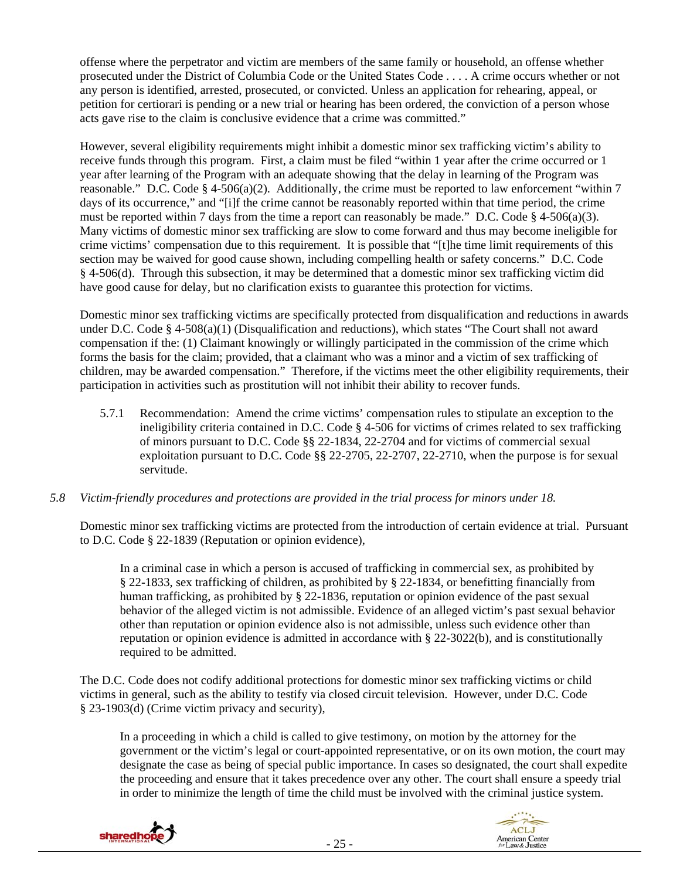offense where the perpetrator and victim are members of the same family or household, an offense whether prosecuted under the District of Columbia Code or the United States Code . . . . A crime occurs whether or not any person is identified, arrested, prosecuted, or convicted. Unless an application for rehearing, appeal, or petition for certiorari is pending or a new trial or hearing has been ordered, the conviction of a person whose acts gave rise to the claim is conclusive evidence that a crime was committed."

However, several eligibility requirements might inhibit a domestic minor sex trafficking victim's ability to receive funds through this program. First, a claim must be filed "within 1 year after the crime occurred or 1 year after learning of the Program with an adequate showing that the delay in learning of the Program was reasonable." D.C. Code § 4-506(a)(2). Additionally, the crime must be reported to law enforcement "within 7 days of its occurrence," and "[i]f the crime cannot be reasonably reported within that time period, the crime must be reported within 7 days from the time a report can reasonably be made." D.C. Code  $\S$  4-506(a)(3). Many victims of domestic minor sex trafficking are slow to come forward and thus may become ineligible for crime victims' compensation due to this requirement. It is possible that "[t]he time limit requirements of this section may be waived for good cause shown, including compelling health or safety concerns." D.C. Code § 4-506(d). Through this subsection, it may be determined that a domestic minor sex trafficking victim did have good cause for delay, but no clarification exists to guarantee this protection for victims.

Domestic minor sex trafficking victims are specifically protected from disqualification and reductions in awards under D.C. Code § 4-508(a)(1) (Disqualification and reductions), which states "The Court shall not award compensation if the: (1) Claimant knowingly or willingly participated in the commission of the crime which forms the basis for the claim; provided, that a claimant who was a minor and a victim of sex trafficking of children, may be awarded compensation." Therefore, if the victims meet the other eligibility requirements, their participation in activities such as prostitution will not inhibit their ability to recover funds.

5.7.1 Recommendation: Amend the crime victims' compensation rules to stipulate an exception to the ineligibility criteria contained in D.C. Code § 4-506 for victims of crimes related to sex trafficking of minors pursuant to D.C. Code §§ 22-1834, 22-2704 and for victims of commercial sexual exploitation pursuant to D.C. Code §§ 22-2705, 22-2707, 22-2710, when the purpose is for sexual servitude.

## *5.8 Victim-friendly procedures and protections are provided in the trial process for minors under 18.*

Domestic minor sex trafficking victims are protected from the introduction of certain evidence at trial. Pursuant to D.C. Code § 22-1839 (Reputation or opinion evidence),

In a criminal case in which a person is accused of trafficking in commercial sex, as prohibited by § 22-1833, sex trafficking of children, as prohibited by § 22-1834, or benefitting financially from human trafficking, as prohibited by § 22-1836, reputation or opinion evidence of the past sexual behavior of the alleged victim is not admissible. Evidence of an alleged victim's past sexual behavior other than reputation or opinion evidence also is not admissible, unless such evidence other than reputation or opinion evidence is admitted in accordance with § 22-3022(b), and is constitutionally required to be admitted.

The D.C. Code does not codify additional protections for domestic minor sex trafficking victims or child victims in general, such as the ability to testify via closed circuit television. However, under D.C. Code § 23-1903(d) (Crime victim privacy and security),

In a proceeding in which a child is called to give testimony, on motion by the attorney for the government or the victim's legal or court-appointed representative, or on its own motion, the court may designate the case as being of special public importance. In cases so designated, the court shall expedite the proceeding and ensure that it takes precedence over any other. The court shall ensure a speedy trial in order to minimize the length of time the child must be involved with the criminal justice system.



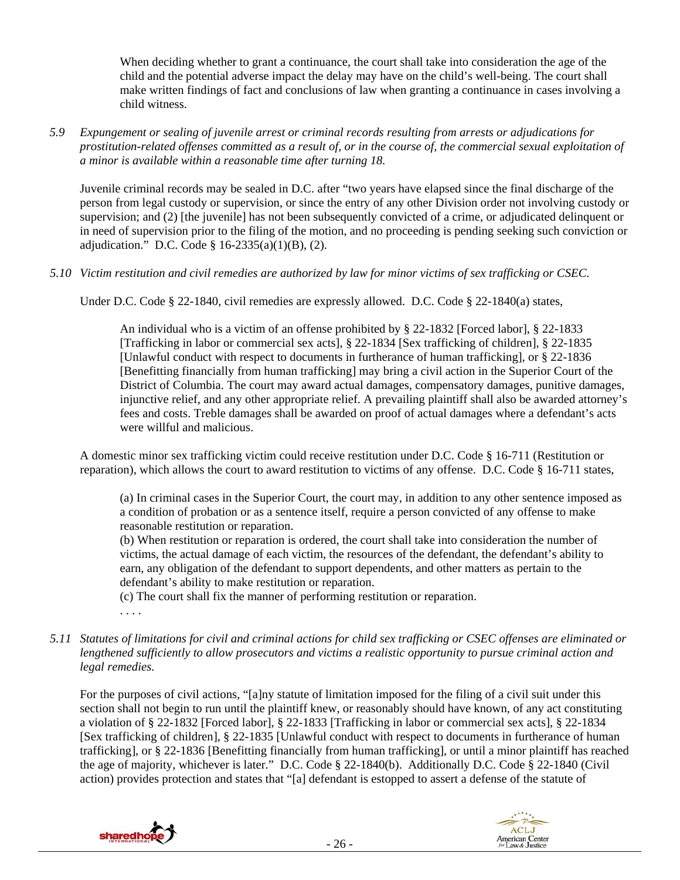When deciding whether to grant a continuance, the court shall take into consideration the age of the child and the potential adverse impact the delay may have on the child's well-being. The court shall make written findings of fact and conclusions of law when granting a continuance in cases involving a child witness.

*5.9 Expungement or sealing of juvenile arrest or criminal records resulting from arrests or adjudications for prostitution-related offenses committed as a result of, or in the course of, the commercial sexual exploitation of a minor is available within a reasonable time after turning 18.* 

Juvenile criminal records may be sealed in D.C. after "two years have elapsed since the final discharge of the person from legal custody or supervision, or since the entry of any other Division order not involving custody or supervision; and (2) [the juvenile] has not been subsequently convicted of a crime, or adjudicated delinquent or in need of supervision prior to the filing of the motion, and no proceeding is pending seeking such conviction or adjudication." D.C. Code § 16-2335(a)(1)(B), (2).

*5.10 Victim restitution and civil remedies are authorized by law for minor victims of sex trafficking or CSEC.* 

Under D.C. Code § 22-1840, civil remedies are expressly allowed. D.C. Code § 22-1840(a) states,

An individual who is a victim of an offense prohibited by § 22-1832 [Forced labor], § 22-1833 [Trafficking in labor or commercial sex acts], § 22-1834 [Sex trafficking of children], § 22-1835 [Unlawful conduct with respect to documents in furtherance of human trafficking], or § 22-1836 [Benefitting financially from human trafficking] may bring a civil action in the Superior Court of the District of Columbia. The court may award actual damages, compensatory damages, punitive damages, injunctive relief, and any other appropriate relief. A prevailing plaintiff shall also be awarded attorney's fees and costs. Treble damages shall be awarded on proof of actual damages where a defendant's acts were willful and malicious.

A domestic minor sex trafficking victim could receive restitution under D.C. Code § 16-711 (Restitution or reparation), which allows the court to award restitution to victims of any offense. D.C. Code § 16-711 states,

(a) In criminal cases in the Superior Court, the court may, in addition to any other sentence imposed as a condition of probation or as a sentence itself, require a person convicted of any offense to make reasonable restitution or reparation.

(b) When restitution or reparation is ordered, the court shall take into consideration the number of victims, the actual damage of each victim, the resources of the defendant, the defendant's ability to earn, any obligation of the defendant to support dependents, and other matters as pertain to the defendant's ability to make restitution or reparation.

(c) The court shall fix the manner of performing restitution or reparation.

- . . . .
- *5.11 Statutes of limitations for civil and criminal actions for child sex trafficking or CSEC offenses are eliminated or lengthened sufficiently to allow prosecutors and victims a realistic opportunity to pursue criminal action and legal remedies.*

For the purposes of civil actions, "[a]ny statute of limitation imposed for the filing of a civil suit under this section shall not begin to run until the plaintiff knew, or reasonably should have known, of any act constituting a violation of § 22-1832 [Forced labor], § 22-1833 [Trafficking in labor or commercial sex acts], § 22-1834 [Sex trafficking of children], § 22-1835 [Unlawful conduct with respect to documents in furtherance of human trafficking], or § 22-1836 [Benefitting financially from human trafficking], or until a minor plaintiff has reached the age of majority, whichever is later." D.C. Code § 22-1840(b). Additionally D.C. Code § 22-1840 (Civil action) provides protection and states that "[a] defendant is estopped to assert a defense of the statute of



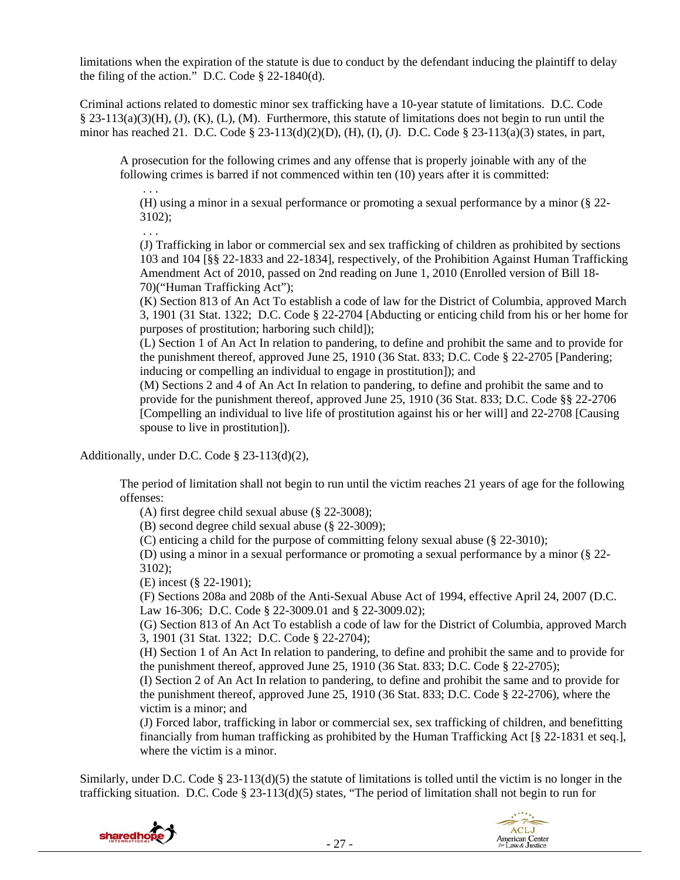limitations when the expiration of the statute is due to conduct by the defendant inducing the plaintiff to delay the filing of the action." D.C. Code § 22-1840(d).

Criminal actions related to domestic minor sex trafficking have a 10-year statute of limitations. D.C. Code  $\S$  23-113(a)(3)(H), (J), (K), (L), (M). Furthermore, this statute of limitations does not begin to run until the minor has reached 21. D.C. Code § 23-113(d)(2)(D), (H), (I), (J). D.C. Code § 23-113(a)(3) states, in part,

A prosecution for the following crimes and any offense that is properly joinable with any of the following crimes is barred if not commenced within ten (10) years after it is committed:

(H) using a minor in a sexual performance or promoting a sexual performance by a minor (§ 22- 3102);

. . .

. . .

(J) Trafficking in labor or commercial sex and sex trafficking of children as prohibited by sections 103 and 104 [§§ 22-1833 and 22-1834], respectively, of the Prohibition Against Human Trafficking Amendment Act of 2010, passed on 2nd reading on June 1, 2010 (Enrolled version of Bill 18- 70)("Human Trafficking Act");

(K) Section 813 of An Act To establish a code of law for the District of Columbia, approved March 3, 1901 (31 Stat. 1322; D.C. Code § 22-2704 [Abducting or enticing child from his or her home for purposes of prostitution; harboring such child]);

(L) Section 1 of An Act In relation to pandering, to define and prohibit the same and to provide for the punishment thereof, approved June 25, 1910 (36 Stat. 833; D.C. Code § 22-2705 [Pandering; inducing or compelling an individual to engage in prostitution]); and

(M) Sections 2 and 4 of An Act In relation to pandering, to define and prohibit the same and to provide for the punishment thereof, approved June 25, 1910 (36 Stat. 833; D.C. Code §§ 22-2706 [Compelling an individual to live life of prostitution against his or her will] and 22-2708 [Causing spouse to live in prostitution]).

Additionally, under D.C. Code § 23-113(d)(2),

The period of limitation shall not begin to run until the victim reaches 21 years of age for the following offenses:

(A) first degree child sexual abuse (§ 22-3008);

(B) second degree child sexual abuse (§ 22-3009);

(C) enticing a child for the purpose of committing felony sexual abuse (§ 22-3010);

(D) using a minor in a sexual performance or promoting a sexual performance by a minor (§ 22- 3102);

(E) incest (§ 22-1901);

(F) Sections 208a and 208b of the Anti-Sexual Abuse Act of 1994, effective April 24, 2007 (D.C. Law 16-306; D.C. Code § 22-3009.01 and § 22-3009.02);

(G) Section 813 of An Act To establish a code of law for the District of Columbia, approved March 3, 1901 (31 Stat. 1322; D.C. Code § 22-2704);

(H) Section 1 of An Act In relation to pandering, to define and prohibit the same and to provide for the punishment thereof, approved June 25, 1910 (36 Stat. 833; D.C. Code § 22-2705);

(I) Section 2 of An Act In relation to pandering, to define and prohibit the same and to provide for the punishment thereof, approved June 25, 1910 (36 Stat. 833; D.C. Code § 22-2706), where the victim is a minor; and

(J) Forced labor, trafficking in labor or commercial sex, sex trafficking of children, and benefitting financially from human trafficking as prohibited by the Human Trafficking Act [§ 22-1831 et seq.], where the victim is a minor.

Similarly, under D.C. Code  $\S$  23-113(d)(5) the statute of limitations is tolled until the victim is no longer in the trafficking situation. D.C. Code  $\S 23-113(d)(5)$  states, "The period of limitation shall not begin to run for



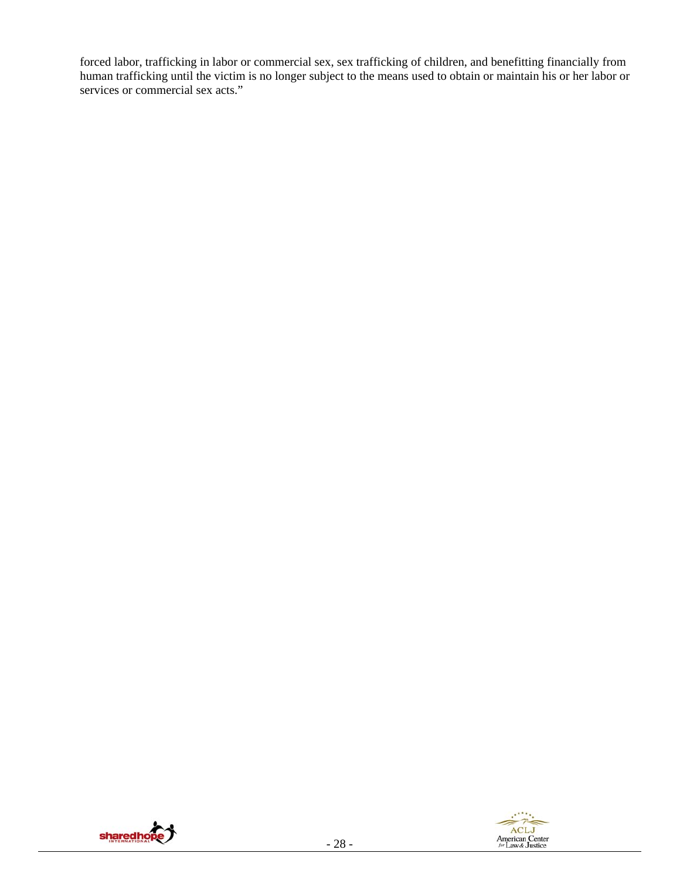forced labor, trafficking in labor or commercial sex, sex trafficking of children, and benefitting financially from human trafficking until the victim is no longer subject to the means used to obtain or maintain his or her labor or services or commercial sex acts."



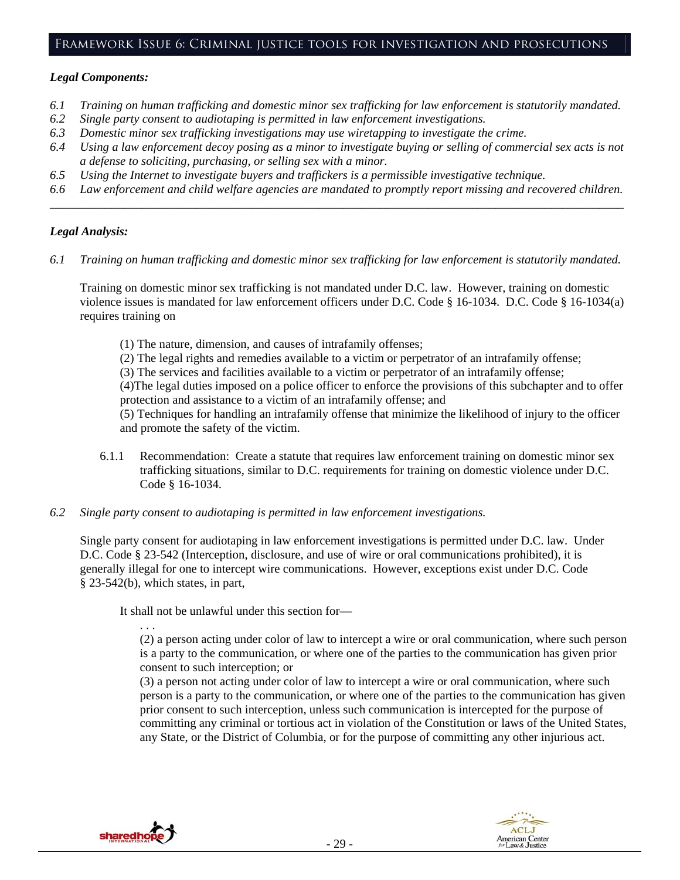#### *Legal Components:*

- *6.1 Training on human trafficking and domestic minor sex trafficking for law enforcement is statutorily mandated.*
- *6.2 Single party consent to audiotaping is permitted in law enforcement investigations.*
- *6.3 Domestic minor sex trafficking investigations may use wiretapping to investigate the crime.*
- *6.4 Using a law enforcement decoy posing as a minor to investigate buying or selling of commercial sex acts is not a defense to soliciting, purchasing, or selling sex with a minor.*
- *6.5 Using the Internet to investigate buyers and traffickers is a permissible investigative technique.*
- *6.6 Law enforcement and child welfare agencies are mandated to promptly report missing and recovered children. \_\_\_\_\_\_\_\_\_\_\_\_\_\_\_\_\_\_\_\_\_\_\_\_\_\_\_\_\_\_\_\_\_\_\_\_\_\_\_\_\_\_\_\_\_\_\_\_\_\_\_\_\_\_\_\_\_\_\_\_\_\_\_\_\_\_\_\_\_\_\_\_\_\_\_\_\_\_\_\_\_\_\_\_\_\_\_\_\_\_\_\_\_\_*

#### *Legal Analysis:*

*6.1 Training on human trafficking and domestic minor sex trafficking for law enforcement is statutorily mandated.*

Training on domestic minor sex trafficking is not mandated under D.C. law. However, training on domestic violence issues is mandated for law enforcement officers under D.C. Code § 16-1034. D.C. Code § 16-1034(a) requires training on

(1) The nature, dimension, and causes of intrafamily offenses;

(2) The legal rights and remedies available to a victim or perpetrator of an intrafamily offense;

(3) The services and facilities available to a victim or perpetrator of an intrafamily offense;

(4)The legal duties imposed on a police officer to enforce the provisions of this subchapter and to offer protection and assistance to a victim of an intrafamily offense; and

(5) Techniques for handling an intrafamily offense that minimize the likelihood of injury to the officer and promote the safety of the victim.

- 6.1.1 Recommendation: Create a statute that requires law enforcement training on domestic minor sex trafficking situations, similar to D.C. requirements for training on domestic violence under D.C. Code § 16-1034.
- *6.2 Single party consent to audiotaping is permitted in law enforcement investigations.*

Single party consent for audiotaping in law enforcement investigations is permitted under D.C. law. Under D.C. Code § 23-542 (Interception, disclosure, and use of wire or oral communications prohibited), it is generally illegal for one to intercept wire communications. However, exceptions exist under D.C. Code § 23-542(b), which states, in part,

It shall not be unlawful under this section for—

. . .

(2) a person acting under color of law to intercept a wire or oral communication, where such person is a party to the communication, or where one of the parties to the communication has given prior consent to such interception; or

(3) a person not acting under color of law to intercept a wire or oral communication, where such person is a party to the communication, or where one of the parties to the communication has given prior consent to such interception, unless such communication is intercepted for the purpose of committing any criminal or tortious act in violation of the Constitution or laws of the United States, any State, or the District of Columbia, or for the purpose of committing any other injurious act.



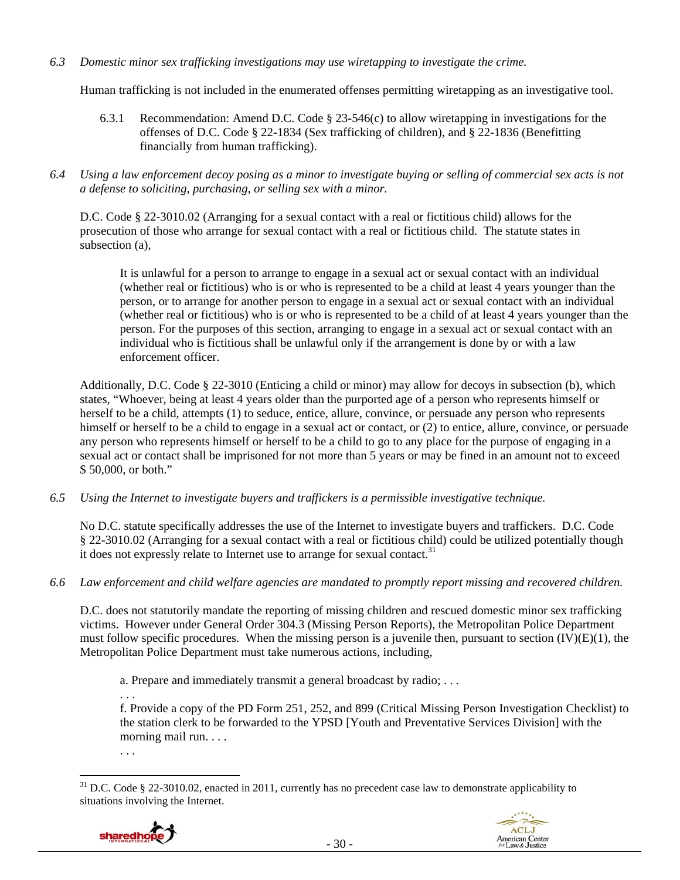#### *6.3 Domestic minor sex trafficking investigations may use wiretapping to investigate the crime.*

Human trafficking is not included in the enumerated offenses permitting wiretapping as an investigative tool.

- 6.3.1 Recommendation: Amend D.C. Code § 23-546(c) to allow wiretapping in investigations for the offenses of D.C. Code § 22-1834 (Sex trafficking of children), and § 22-1836 (Benefitting financially from human trafficking).
- *6.4 Using a law enforcement decoy posing as a minor to investigate buying or selling of commercial sex acts is not a defense to soliciting, purchasing, or selling sex with a minor.*

D.C. Code § 22-3010.02 (Arranging for a sexual contact with a real or fictitious child) allows for the prosecution of those who arrange for sexual contact with a real or fictitious child. The statute states in subsection (a),

It is unlawful for a person to arrange to engage in a sexual act or sexual contact with an individual (whether real or fictitious) who is or who is represented to be a child at least 4 years younger than the person, or to arrange for another person to engage in a sexual act or sexual contact with an individual (whether real or fictitious) who is or who is represented to be a child of at least 4 years younger than the person. For the purposes of this section, arranging to engage in a sexual act or sexual contact with an individual who is fictitious shall be unlawful only if the arrangement is done by or with a law enforcement officer.

Additionally, D.C. Code § 22-3010 (Enticing a child or minor) may allow for decoys in subsection (b), which states, "Whoever, being at least 4 years older than the purported age of a person who represents himself or herself to be a child, attempts (1) to seduce, entice, allure, convince, or persuade any person who represents himself or herself to be a child to engage in a sexual act or contact, or (2) to entice, allure, convince, or persuade any person who represents himself or herself to be a child to go to any place for the purpose of engaging in a sexual act or contact shall be imprisoned for not more than 5 years or may be fined in an amount not to exceed \$ 50,000, or both."

*6.5 Using the Internet to investigate buyers and traffickers is a permissible investigative technique.* 

No D.C. statute specifically addresses the use of the Internet to investigate buyers and traffickers. D.C. Code § 22-3010.02 (Arranging for a sexual contact with a real or fictitious child) could be utilized potentially though it does not expressly relate to Internet use to arrange for sexual contact.<sup>31</sup>

*6.6 Law enforcement and child welfare agencies are mandated to promptly report missing and recovered children.* 

D.C. does not statutorily mandate the reporting of missing children and rescued domestic minor sex trafficking victims. However under General Order 304.3 (Missing Person Reports), the Metropolitan Police Department must follow specific procedures. When the missing person is a juvenile then, pursuant to section  $(IV)(E)(1)$ , the Metropolitan Police Department must take numerous actions, including,

a. Prepare and immediately transmit a general broadcast by radio; . . .

. . .

f. Provide a copy of the PD Form 251, 252, and 899 (Critical Missing Person Investigation Checklist) to the station clerk to be forwarded to the YPSD [Youth and Preventative Services Division] with the morning mail run. . . .

. . .

  $31$  D.C. Code § 22-3010.02, enacted in 2011, currently has no precedent case law to demonstrate applicability to situations involving the Internet.